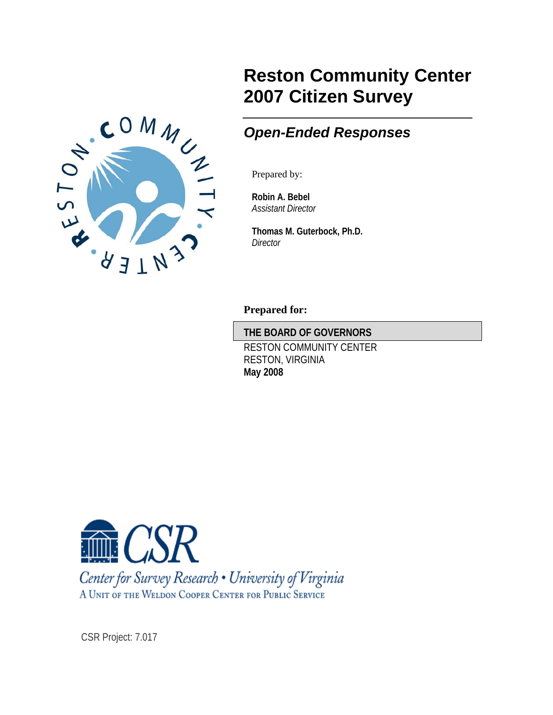

# **Reston Community Center 2007 Citizen Survey**

# *Open-Ended Responses*

Prepared by:

**Robin A. Bebel**  *Assistant Director* 

**Thomas M. Guterbock, Ph.D.**  *Director* 

**Prepared for:** 

**THE BOARD OF GOVERNORS** 

 RESTON COMMUNITY CENTER RESTON, VIRGINIA **May 2008** 



Center for Survey Research • University of Virginia A UNIT OF THE WELDON COOPER CENTER FOR PUBLIC SERVICE

CSR Project: 7.017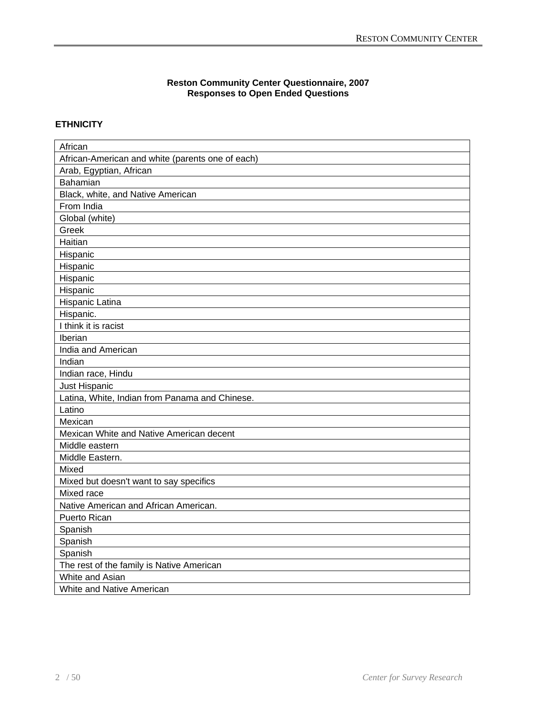#### **Reston Community Center Questionnaire, 2007 Responses to Open Ended Questions**

# **ETHNICITY**

| African                                          |
|--------------------------------------------------|
| African-American and white (parents one of each) |
| Arab, Egyptian, African                          |
| Bahamian                                         |
| Black, white, and Native American                |
| From India                                       |
| Global (white)                                   |
| Greek                                            |
| Haitian                                          |
| Hispanic                                         |
| Hispanic                                         |
| Hispanic                                         |
| Hispanic                                         |
| Hispanic Latina                                  |
| Hispanic.                                        |
| I think it is racist                             |
| Iberian                                          |
| India and American                               |
| Indian                                           |
| Indian race, Hindu                               |
| Just Hispanic                                    |
| Latina, White, Indian from Panama and Chinese.   |
| Latino                                           |
| Mexican                                          |
| Mexican White and Native American decent         |
| Middle eastern                                   |
| Middle Eastern.                                  |
| Mixed                                            |
| Mixed but doesn't want to say specifics          |
| Mixed race                                       |
| Native American and African American.            |
| Puerto Rican                                     |
| Spanish                                          |
| Spanish                                          |
| Spanish                                          |
| The rest of the family is Native American        |
| White and Asian                                  |
|                                                  |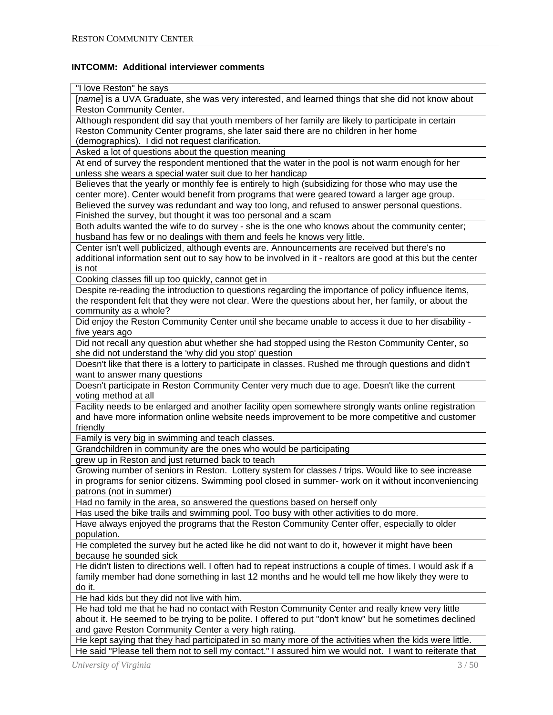# **INTCOMM: Additional interviewer comments**

| "I love Reston" he says                                                                                     |
|-------------------------------------------------------------------------------------------------------------|
| [name] is a UVA Graduate, she was very interested, and learned things that she did not know about           |
| Reston Community Center.                                                                                    |
| Although respondent did say that youth members of her family are likely to participate in certain           |
| Reston Community Center programs, she later said there are no children in her home                          |
| (demographics). I did not request clarification.                                                            |
| Asked a lot of questions about the question meaning                                                         |
| At end of survey the respondent mentioned that the water in the pool is not warm enough for her             |
| unless she wears a special water suit due to her handicap                                                   |
| Believes that the yearly or monthly fee is entirely to high (subsidizing for those who may use the          |
| center more). Center would benefit from programs that were geared toward a larger age group.                |
| Believed the survey was redundant and way too long, and refused to answer personal questions.               |
| Finished the survey, but thought it was too personal and a scam                                             |
| Both adults wanted the wife to do survey - she is the one who knows about the community center;             |
| husband has few or no dealings with them and feels he knows very little.                                    |
| Center isn't well publicized, although events are. Announcements are received but there's no                |
| additional information sent out to say how to be involved in it - realtors are good at this but the center  |
| is not                                                                                                      |
| Cooking classes fill up too quickly, cannot get in                                                          |
| Despite re-reading the introduction to questions regarding the importance of policy influence items,        |
| the respondent felt that they were not clear. Were the questions about her, her family, or about the        |
| community as a whole?                                                                                       |
| Did enjoy the Reston Community Center until she became unable to access it due to her disability -          |
| five years ago                                                                                              |
| Did not recall any question abut whether she had stopped using the Reston Community Center, so              |
| she did not understand the 'why did you stop' question                                                      |
| Doesn't like that there is a lottery to participate in classes. Rushed me through questions and didn't      |
| want to answer many questions                                                                               |
| Doesn't participate in Reston Community Center very much due to age. Doesn't like the current               |
| voting method at all                                                                                        |
| Facility needs to be enlarged and another facility open somewhere strongly wants online registration        |
| and have more information online website needs improvement to be more competitive and customer              |
| friendly                                                                                                    |
| Family is very big in swimming and teach classes.                                                           |
| Grandchildren in community are the ones who would be participating                                          |
| grew up in Reston and just returned back to teach                                                           |
| Growing number of seniors in Reston. Lottery system for classes / trips. Would like to see increase         |
| in programs for senior citizens. Swimming pool closed in summer- work on it without inconveniencing         |
| patrons (not in summer)                                                                                     |
| Had no family in the area, so answered the questions based on herself only                                  |
| Has used the bike trails and swimming pool. Too busy with other activities to do more.                      |
| Have always enjoyed the programs that the Reston Community Center offer, especially to older                |
| population.                                                                                                 |
| He completed the survey but he acted like he did not want to do it, however it might have been              |
| because he sounded sick                                                                                     |
| He didn't listen to directions well. I often had to repeat instructions a couple of times. I would ask if a |
| family member had done something in last 12 months and he would tell me how likely they were to             |
| do it.                                                                                                      |
| He had kids but they did not live with him.                                                                 |
| He had told me that he had no contact with Reston Community Center and really knew very little              |
| about it. He seemed to be trying to be polite. I offered to put "don't know" but he sometimes declined      |
| and gave Reston Community Center a very high rating.                                                        |
| He kept saying that they had participated in so many more of the activities when the kids were little.      |
| He said "Please tell them not to sell my contact." I assured him we would not. I want to reiterate that     |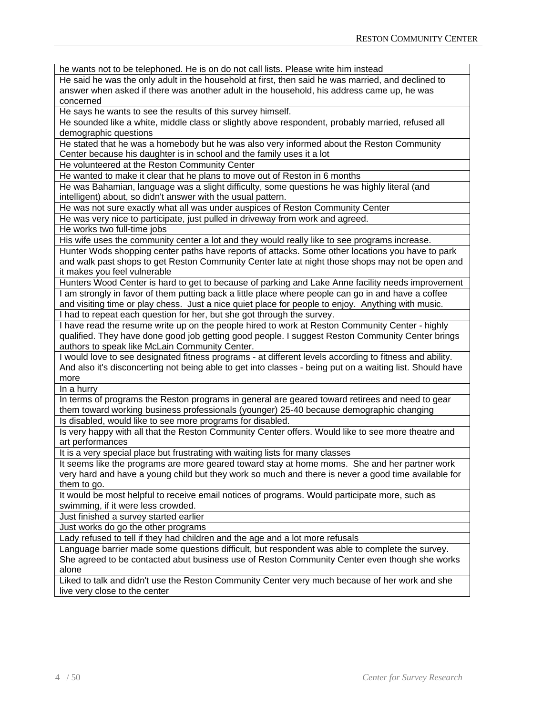he wants not to be telephoned. He is on do not call lists. Please write him instead

He said he was the only adult in the household at first, then said he was married, and declined to answer when asked if there was another adult in the household, his address came up, he was concerned

He says he wants to see the results of this survey himself.

He sounded like a white, middle class or slightly above respondent, probably married, refused all demographic questions

He stated that he was a homebody but he was also very informed about the Reston Community Center because his daughter is in school and the family uses it a lot

He volunteered at the Reston Community Center

He wanted to make it clear that he plans to move out of Reston in 6 months

He was Bahamian, language was a slight difficulty, some questions he was highly literal (and intelligent) about, so didn't answer with the usual pattern.

He was not sure exactly what all was under auspices of Reston Community Center

He was very nice to participate, just pulled in driveway from work and agreed.

He works two full-time jobs

His wife uses the community center a lot and they would really like to see programs increase.

Hunter Wods shopping center paths have reports of attacks. Some other locations you have to park and walk past shops to get Reston Community Center late at night those shops may not be open and it makes you feel vulnerable

Hunters Wood Center is hard to get to because of parking and Lake Anne facility needs improvement I am strongly in favor of them putting back a little place where people can go in and have a coffee and visiting time or play chess. Just a nice quiet place for people to enjoy. Anything with music. I had to repeat each question for her, but she got through the survey.

I have read the resume write up on the people hired to work at Reston Community Center - highly qualified. They have done good job getting good people. I suggest Reston Community Center brings authors to speak like McLain Community Center.

I would love to see designated fitness programs - at different levels according to fitness and ability. And also it's disconcerting not being able to get into classes - being put on a waiting list. Should have more

In a hurry

In terms of programs the Reston programs in general are geared toward retirees and need to gear them toward working business professionals (younger) 25-40 because demographic changing

Is disabled, would like to see more programs for disabled.

Is very happy with all that the Reston Community Center offers. Would like to see more theatre and art performances

It is a very special place but frustrating with waiting lists for many classes

It seems like the programs are more geared toward stay at home moms. She and her partner work very hard and have a young child but they work so much and there is never a good time available for them to go.

It would be most helpful to receive email notices of programs. Would participate more, such as swimming, if it were less crowded.

Just finished a survey started earlier

Just works do go the other programs

Lady refused to tell if they had children and the age and a lot more refusals

Language barrier made some questions difficult, but respondent was able to complete the survey. She agreed to be contacted abut business use of Reston Community Center even though she works alone

Liked to talk and didn't use the Reston Community Center very much because of her work and she live very close to the center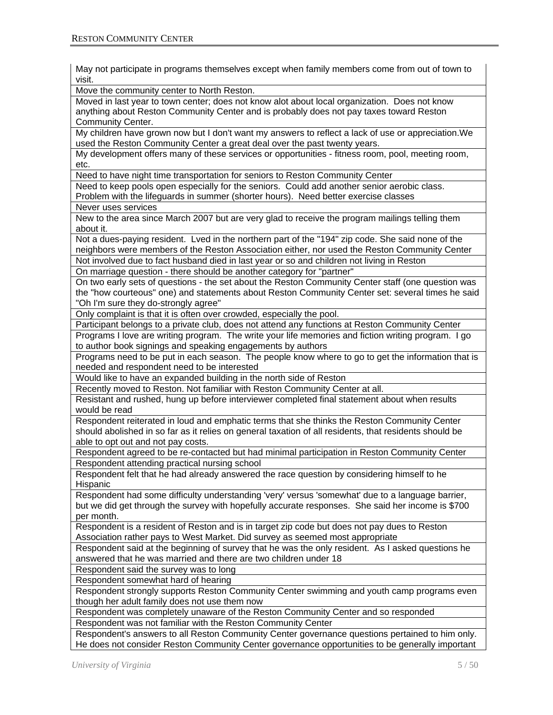May not participate in programs themselves except when family members come from out of town to visit.

Move the community center to North Reston.

Moved in last year to town center; does not know alot about local organization. Does not know anything about Reston Community Center and is probably does not pay taxes toward Reston Community Center.

My children have grown now but I don't want my answers to reflect a lack of use or appreciation.We used the Reston Community Center a great deal over the past twenty years.

My development offers many of these services or opportunities - fitness room, pool, meeting room, etc.

Need to have night time transportation for seniors to Reston Community Center

Need to keep pools open especially for the seniors. Could add another senior aerobic class. Problem with the lifeguards in summer (shorter hours). Need better exercise classes

Never uses services

New to the area since March 2007 but are very glad to receive the program mailings telling them about it.

Not a dues-paying resident. Lved in the northern part of the "194" zip code. She said none of the neighbors were members of the Reston Association either, nor used the Reston Community Center

Not involved due to fact husband died in last year or so and children not living in Reston

On marriage question - there should be another category for "partner"

On two early sets of questions - the set about the Reston Community Center staff (one question was the "how courteous" one) and statements about Reston Community Center set: several times he said "Oh I'm sure they do-strongly agree"

Only complaint is that it is often over crowded, especially the pool.

Participant belongs to a private club, does not attend any functions at Reston Community Center

Programs I love are writing program. The write your life memories and fiction writing program. I go to author book signings and speaking engagements by authors

Programs need to be put in each season. The people know where to go to get the information that is needed and respondent need to be interested

Would like to have an expanded building in the north side of Reston

Recently moved to Reston. Not familiar with Reston Community Center at all.

Resistant and rushed, hung up before interviewer completed final statement about when results would be read

Respondent reiterated in loud and emphatic terms that she thinks the Reston Community Center should abolished in so far as it relies on general taxation of all residents, that residents should be able to opt out and not pay costs.

Respondent agreed to be re-contacted but had minimal participation in Reston Community Center Respondent attending practical nursing school

Respondent felt that he had already answered the race question by considering himself to he Hispanic

Respondent had some difficulty understanding 'very' versus 'somewhat' due to a language barrier, but we did get through the survey with hopefully accurate responses. She said her income is \$700 per month.

Respondent is a resident of Reston and is in target zip code but does not pay dues to Reston Association rather pays to West Market. Did survey as seemed most appropriate

Respondent said at the beginning of survey that he was the only resident. As I asked questions he answered that he was married and there are two children under 18

Respondent said the survey was to long

Respondent somewhat hard of hearing

Respondent strongly supports Reston Community Center swimming and youth camp programs even though her adult family does not use them now

Respondent was completely unaware of the Reston Community Center and so responded Respondent was not familiar with the Reston Community Center

Respondent's answers to all Reston Community Center governance questions pertained to him only. He does not consider Reston Community Center governance opportunities to be generally important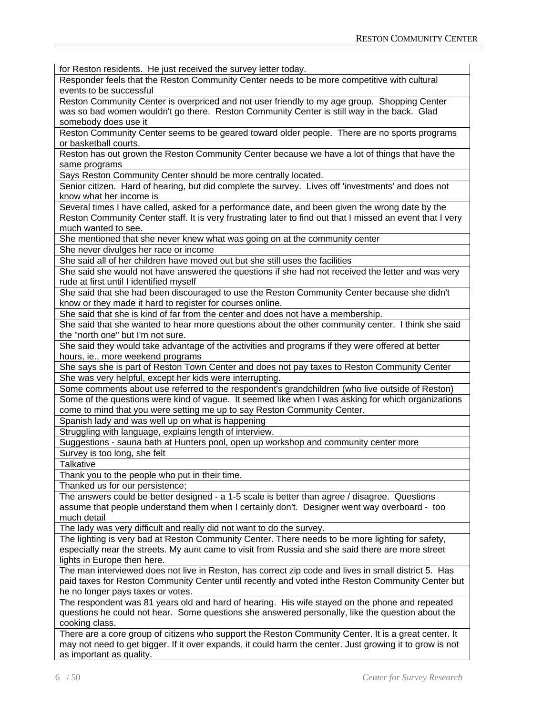| for Reston residents. He just received the survey letter today.                                            |
|------------------------------------------------------------------------------------------------------------|
| Responder feels that the Reston Community Center needs to be more competitive with cultural                |
| events to be successful                                                                                    |
| Reston Community Center is overpriced and not user friendly to my age group. Shopping Center               |
| was so bad women wouldn't go there. Reston Community Center is still way in the back. Glad                 |
| somebody does use it                                                                                       |
| Reston Community Center seems to be geared toward older people. There are no sports programs               |
| or basketball courts.                                                                                      |
| Reston has out grown the Reston Community Center because we have a lot of things that have the             |
|                                                                                                            |
| same programs<br>Says Reston Community Center should be more centrally located.                            |
|                                                                                                            |
| Senior citizen. Hard of hearing, but did complete the survey. Lives off 'investments' and does not         |
| know what her income is                                                                                    |
| Several times I have called, asked for a performance date, and been given the wrong date by the            |
| Reston Community Center staff. It is very frustrating later to find out that I missed an event that I very |
| much wanted to see.                                                                                        |
| She mentioned that she never knew what was going on at the community center                                |
| She never divulges her race or income                                                                      |
| She said all of her children have moved out but she still uses the facilities                              |
| She said she would not have answered the questions if she had not received the letter and was very         |
| rude at first until I identified myself                                                                    |
| She said that she had been discouraged to use the Reston Community Center because she didn't               |
| know or they made it hard to register for courses online.                                                  |
| She said that she is kind of far from the center and does not have a membership.                           |
| She said that she wanted to hear more questions about the other community center. I think she said         |
| the "north one" but I'm not sure.                                                                          |
| She said they would take advantage of the activities and programs if they were offered at better           |
| hours, ie., more weekend programs                                                                          |
| She says she is part of Reston Town Center and does not pay taxes to Reston Community Center               |
| She was very helpful, except her kids were interrupting.                                                   |
| Some comments about use referred to the respondent's grandchildren (who live outside of Reston)            |
| Some of the questions were kind of vague. It seemed like when I was asking for which organizations         |
| come to mind that you were setting me up to say Reston Community Center.                                   |
| Spanish lady and was well up on what is happening                                                          |
| Struggling with language, explains length of interview.                                                    |
| Suggestions - sauna bath at Hunters pool, open up workshop and community center more                       |
| Survey is too long, she felt                                                                               |
| Talkative                                                                                                  |
| Thank you to the people who put in their time.                                                             |
| Thanked us for our persistence;                                                                            |
| The answers could be better designed - a 1-5 scale is better than agree / disagree. Questions              |
| assume that people understand them when I certainly don't. Designer went way overboard - too               |
| much detail                                                                                                |
| The lady was very difficult and really did not want to do the survey.                                      |
| The lighting is very bad at Reston Community Center. There needs to be more lighting for safety,           |
| especially near the streets. My aunt came to visit from Russia and she said there are more street          |
| lights in Europe then here.                                                                                |
| The man interviewed does not live in Reston, has correct zip code and lives in small district 5. Has       |
| paid taxes for Reston Community Center until recently and voted inthe Reston Community Center but          |
| he no longer pays taxes or votes.                                                                          |
| The respondent was 81 years old and hard of hearing. His wife stayed on the phone and repeated             |
| questions he could not hear. Some questions she answered personally, like the question about the           |
| cooking class.                                                                                             |
| There are a core group of citizens who support the Reston Community Center. It is a great center. It       |
| may not need to get bigger. If it over expands, it could harm the center. Just growing it to grow is not   |
| as important as quality.                                                                                   |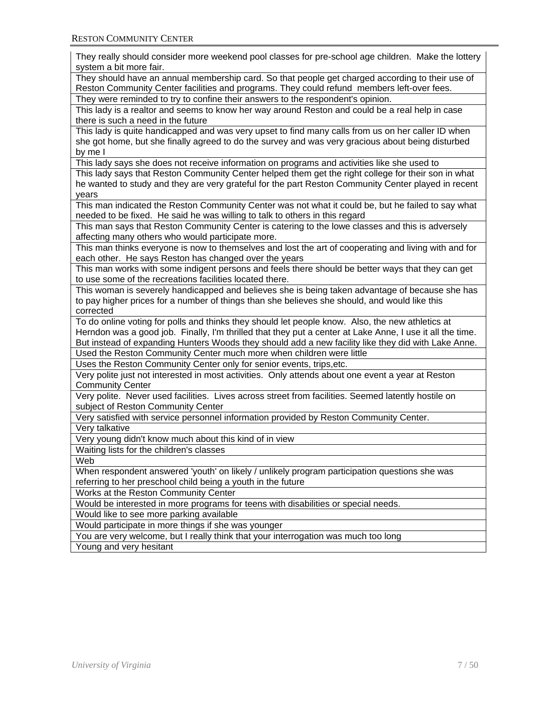| They really should consider more weekend pool classes for pre-school age children. Make the lottery<br>system a bit more fair.                                                                                                                                                                                       |
|----------------------------------------------------------------------------------------------------------------------------------------------------------------------------------------------------------------------------------------------------------------------------------------------------------------------|
| They should have an annual membership card. So that people get charged according to their use of<br>Reston Community Center facilities and programs. They could refund members left-over fees.                                                                                                                       |
| They were reminded to try to confine their answers to the respondent's opinion.                                                                                                                                                                                                                                      |
| This lady is a realtor and seems to know her way around Reston and could be a real help in case<br>there is such a need in the future                                                                                                                                                                                |
| This lady is quite handicapped and was very upset to find many calls from us on her caller ID when<br>she got home, but she finally agreed to do the survey and was very gracious about being disturbed<br>by me I                                                                                                   |
| This lady says she does not receive information on programs and activities like she used to                                                                                                                                                                                                                          |
| This lady says that Reston Community Center helped them get the right college for their son in what<br>he wanted to study and they are very grateful for the part Reston Community Center played in recent<br>years                                                                                                  |
| This man indicated the Reston Community Center was not what it could be, but he failed to say what<br>needed to be fixed. He said he was willing to talk to others in this regard                                                                                                                                    |
| This man says that Reston Community Center is catering to the lowe classes and this is adversely<br>affecting many others who would participate more.                                                                                                                                                                |
| This man thinks everyone is now to themselves and lost the art of cooperating and living with and for<br>each other. He says Reston has changed over the years                                                                                                                                                       |
| This man works with some indigent persons and feels there should be better ways that they can get<br>to use some of the recreations facilities located there.                                                                                                                                                        |
| This woman is severely handicapped and believes she is being taken advantage of because she has<br>to pay higher prices for a number of things than she believes she should, and would like this<br>corrected                                                                                                        |
| To do online voting for polls and thinks they should let people know. Also, the new athletics at<br>Herndon was a good job. Finally, I'm thrilled that they put a center at Lake Anne, I use it all the time.<br>But instead of expanding Hunters Woods they should add a new facility like they did with Lake Anne. |
| Used the Reston Community Center much more when children were little                                                                                                                                                                                                                                                 |
| Uses the Reston Community Center only for senior events, trips, etc.                                                                                                                                                                                                                                                 |
| Very polite just not interested in most activities. Only attends about one event a year at Reston<br><b>Community Center</b>                                                                                                                                                                                         |
| Very polite. Never used facilities. Lives across street from facilities. Seemed latently hostile on<br>subject of Reston Community Center                                                                                                                                                                            |
| Very satisfied with service personnel information provided by Reston Community Center.                                                                                                                                                                                                                               |
| Very talkative                                                                                                                                                                                                                                                                                                       |
| Very young didn't know much about this kind of in view                                                                                                                                                                                                                                                               |
| Waiting lists for the children's classes                                                                                                                                                                                                                                                                             |
| Web                                                                                                                                                                                                                                                                                                                  |
| When respondent answered 'youth' on likely / unlikely program participation questions she was<br>referring to her preschool child being a youth in the future                                                                                                                                                        |
| Works at the Reston Community Center                                                                                                                                                                                                                                                                                 |
| Would be interested in more programs for teens with disabilities or special needs.                                                                                                                                                                                                                                   |
| Would like to see more parking available                                                                                                                                                                                                                                                                             |
| Would participate in more things if she was younger                                                                                                                                                                                                                                                                  |
| You are very welcome, but I really think that your interrogation was much too long                                                                                                                                                                                                                                   |
| Young and very hesitant                                                                                                                                                                                                                                                                                              |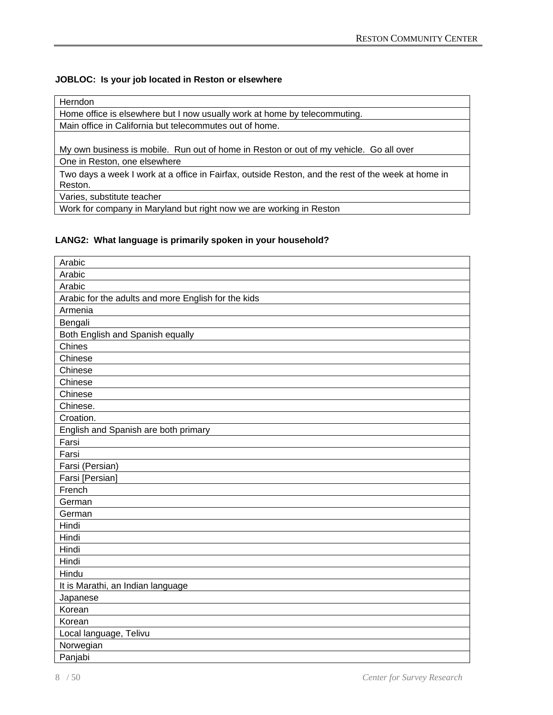# **JOBLOC: Is your job located in Reston or elsewhere**

# Herndon

Home office is elsewhere but I now usually work at home by telecommuting.

Main office in California but telecommutes out of home.

My own business is mobile. Run out of home in Reston or out of my vehicle. Go all over

One in Reston, one elsewhere

Two days a week I work at a office in Fairfax, outside Reston, and the rest of the week at home in Reston.

Varies, substitute teacher

Work for company in Maryland but right now we are working in Reston

# **LANG2: What language is primarily spoken in your household?**

| Arabic                                              |
|-----------------------------------------------------|
| Arabic                                              |
| Arabic                                              |
| Arabic for the adults and more English for the kids |
| Armenia                                             |
| Bengali                                             |
| Both English and Spanish equally                    |
| Chines                                              |
| Chinese                                             |
| Chinese                                             |
| Chinese                                             |
| Chinese                                             |
| Chinese.                                            |
| Croation.                                           |
| English and Spanish are both primary                |
| Farsi                                               |
| Farsi                                               |
| Farsi (Persian)                                     |
| Farsi [Persian]                                     |
| French                                              |
| German                                              |
| German                                              |
| Hindi                                               |
| Hindi                                               |
| Hindi                                               |
| Hindi                                               |
| Hindu                                               |
| It is Marathi, an Indian language                   |
| Japanese                                            |
| Korean                                              |
| Korean                                              |
| Local language, Telivu                              |
| Norwegian                                           |
| Panjabi                                             |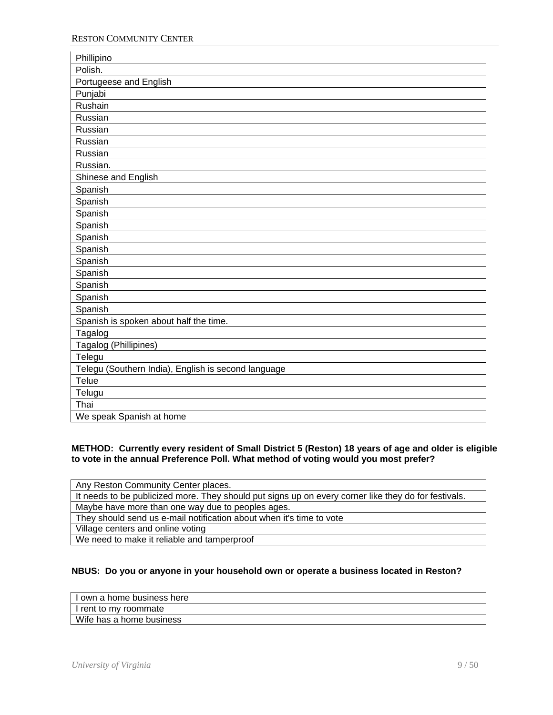| Phillipino                                          |
|-----------------------------------------------------|
| Polish.                                             |
| Portugeese and English                              |
| Punjabi                                             |
| Rushain                                             |
| Russian                                             |
| Russian                                             |
| Russian                                             |
| Russian                                             |
| Russian.                                            |
| Shinese and English                                 |
| Spanish                                             |
| Spanish                                             |
| Spanish                                             |
| Spanish                                             |
| Spanish                                             |
| Spanish                                             |
| Spanish                                             |
| Spanish                                             |
| Spanish                                             |
| Spanish                                             |
| Spanish                                             |
| Spanish is spoken about half the time.              |
| Tagalog                                             |
| Tagalog (Phillipines)                               |
| Telegu                                              |
| Telegu (Southern India), English is second language |
| Telue                                               |
| Telugu                                              |
| Thai                                                |
| We speak Spanish at home                            |

#### **METHOD: Currently every resident of Small District 5 (Reston) 18 years of age and older is eligible to vote in the annual Preference Poll. What method of voting would you most prefer?**

| Any Reston Community Center places.                                                                  |
|------------------------------------------------------------------------------------------------------|
| It needs to be publicized more. They should put signs up on every corner like they do for festivals. |
| Maybe have more than one way due to peoples ages.                                                    |
| They should send us e-mail notification about when it's time to vote                                 |
| Village centers and online voting                                                                    |
| We need to make it reliable and tamperproof                                                          |

# **NBUS: Do you or anyone in your household own or operate a business located in Reston?**

|  | I I own a home business here |  |
|--|------------------------------|--|
|  |                              |  |

I rent to my roommate Wife has a home business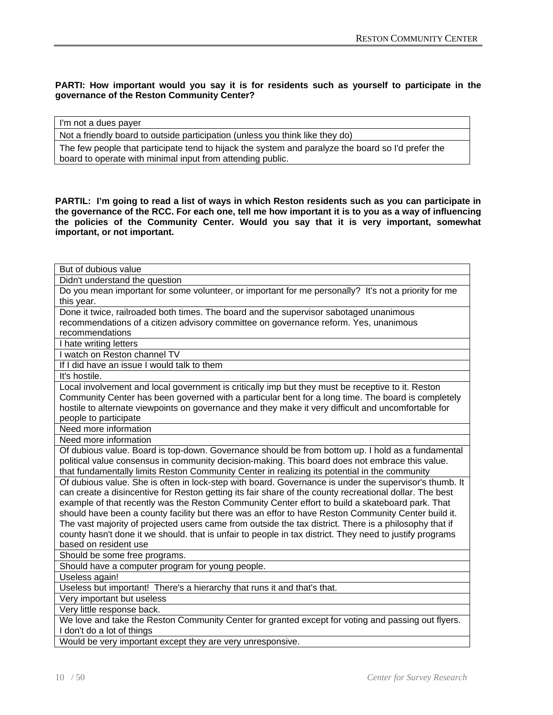# **PARTI: How important would you say it is for residents such as yourself to participate in the governance of the Reston Community Center?**

I'm not a dues payer

Not a friendly board to outside participation (unless you think like they do)

The few people that participate tend to hijack the system and paralyze the board so I'd prefer the board to operate with minimal input from attending public.

**PARTIL: I'm going to read a list of ways in which Reston residents such as you can participate in the governance of the RCC. For each one, tell me how important it is to you as a way of influencing the policies of the Community Center. Would you say that it is very important, somewhat important, or not important.** 

| But of dubious value                                                                                     |
|----------------------------------------------------------------------------------------------------------|
| Didn't understand the question                                                                           |
| Do you mean important for some volunteer, or important for me personally? It's not a priority for me     |
| this year.                                                                                               |
| Done it twice, railroaded both times. The board and the supervisor sabotaged unanimous                   |
| recommendations of a citizen advisory committee on governance reform. Yes, unanimous                     |
| recommendations                                                                                          |
| I hate writing letters                                                                                   |
| I watch on Reston channel TV                                                                             |
| If I did have an issue I would talk to them                                                              |
| It's hostile.                                                                                            |
| Local involvement and local government is critically imp but they must be receptive to it. Reston        |
| Community Center has been governed with a particular bent for a long time. The board is completely       |
| hostile to alternate viewpoints on governance and they make it very difficult and uncomfortable for      |
| people to participate                                                                                    |
| Need more information                                                                                    |
| Need more information                                                                                    |
| Of dubious value. Board is top-down. Governance should be from bottom up. I hold as a fundamental        |
| political value consensus in community decision-making. This board does not embrace this value.          |
| that fundamentally limits Reston Community Center in realizing its potential in the community            |
| Of dubious value. She is often in lock-step with board. Governance is under the supervisor's thumb. It   |
| can create a disincentive for Reston getting its fair share of the county recreational dollar. The best  |
| example of that recently was the Reston Community Center effort to build a skateboard park. That         |
| should have been a county facility but there was an effor to have Reston Community Center build it.      |
| The vast majority of projected users came from outside the tax district. There is a philosophy that if   |
| county hasn't done it we should. that is unfair to people in tax district. They need to justify programs |
| based on resident use                                                                                    |
| Should be some free programs.                                                                            |
| Should have a computer program for young people.                                                         |
| Useless again!                                                                                           |
| Useless but important! There's a hierarchy that runs it and that's that.                                 |
| Very important but useless                                                                               |
| Very little response back.                                                                               |
| We love and take the Reston Community Center for granted except for voting and passing out flyers.       |
| I don't do a lot of things                                                                               |
| Would be very important except they are very unresponsive.                                               |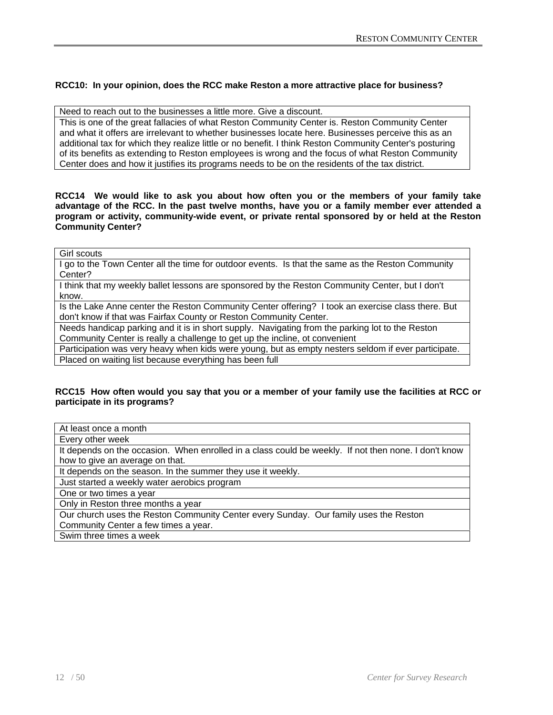# **RCC10: In your opinion, does the RCC make Reston a more attractive place for business?**

Need to reach out to the businesses a little more. Give a discount.

This is one of the great fallacies of what Reston Community Center is. Reston Community Center and what it offers are irrelevant to whether businesses locate here. Businesses perceive this as an additional tax for which they realize little or no benefit. I think Reston Community Center's posturing of its benefits as extending to Reston employees is wrong and the focus of what Reston Community Center does and how it justifies its programs needs to be on the residents of the tax district.

**RCC14 We would like to ask you about how often you or the members of your family take advantage of the RCC. In the past twelve months, have you or a family member ever attended a program or activity, community-wide event, or private rental sponsored by or held at the Reston Community Center?** 

Girl scouts

I go to the Town Center all the time for outdoor events. Is that the same as the Reston Community Center?

I think that my weekly ballet lessons are sponsored by the Reston Community Center, but I don't know.

Is the Lake Anne center the Reston Community Center offering? I took an exercise class there. But don't know if that was Fairfax County or Reston Community Center.

Needs handicap parking and it is in short supply. Navigating from the parking lot to the Reston Community Center is really a challenge to get up the incline, ot convenient

Participation was very heavy when kids were young, but as empty nesters seldom if ever participate. Placed on waiting list because everything has been full

#### **RCC15 How often would you say that you or a member of your family use the facilities at RCC or participate in its programs?**

At least once a month

Every other week

It depends on the occasion. When enrolled in a class could be weekly. If not then none. I don't know how to give an average on that.

It depends on the season. In the summer they use it weekly.

Just started a weekly water aerobics program

One or two times a year

Only in Reston three months a year

Our church uses the Reston Community Center every Sunday. Our family uses the Reston Community Center a few times a year.

Swim three times a week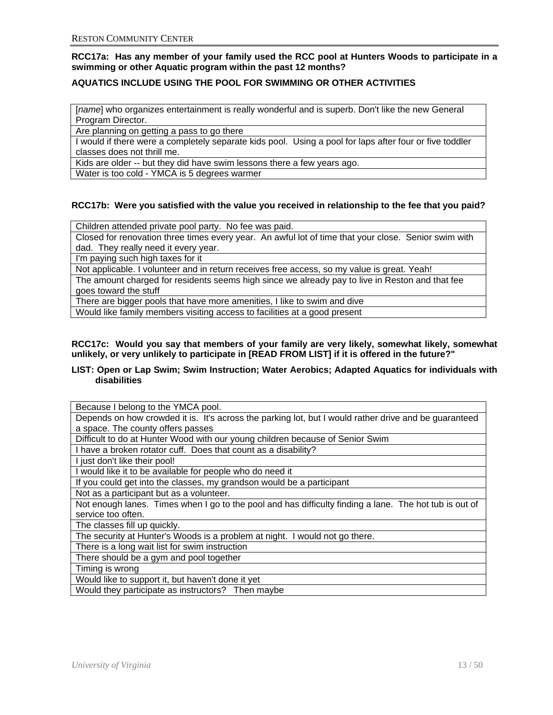**RCC17a: Has any member of your family used the RCC pool at Hunters Woods to participate in a swimming or other Aquatic program within the past 12 months?**

# **AQUATICS INCLUDE USING THE POOL FOR SWIMMING OR OTHER ACTIVITIES**

[*name*] who organizes entertainment is really wonderful and is superb. Don't like the new General Program Director.

Are planning on getting a pass to go there

I would if there were a completely separate kids pool. Using a pool for laps after four or five toddler classes does not thrill me.

Kids are older -- but they did have swim lessons there a few years ago.

Water is too cold - YMCA is 5 degrees warmer

# **RCC17b: Were you satisfied with the value you received in relationship to the fee that you paid?**

Children attended private pool party. No fee was paid.

Closed for renovation three times every year. An awful lot of time that your close. Senior swim with dad. They really need it every year.

I'm paying such high taxes for it

Not applicable. I volunteer and in return receives free access, so my value is great. Yeah!

The amount charged for residents seems high since we already pay to live in Reston and that fee goes toward the stuff

There are bigger pools that have more amenities, I like to swim and dive

Would like family members visiting access to facilities at a good present

#### **RCC17c: Would you say that members of your family are very likely, somewhat likely, somewhat unlikely, or very unlikely to participate in [READ FROM LIST] if it is offered in the future?"**

#### **LIST: Open or Lap Swim; Swim Instruction; Water Aerobics; Adapted Aquatics for individuals with disabilities**

Because I belong to the YMCA pool.

Depends on how crowded it is. It's across the parking lot, but I would rather drive and be guaranteed a space. The county offers passes

Difficult to do at Hunter Wood with our young children because of Senior Swim

I have a broken rotator cuff. Does that count as a disability?

I just don't like their pool!

I would like it to be available for people who do need it

If you could get into the classes, my grandson would be a participant

Not as a participant but as a volunteer.

Not enough lanes. Times when I go to the pool and has difficulty finding a lane. The hot tub is out of service too often.

The classes fill up quickly.

The security at Hunter's Woods is a problem at night. I would not go there.

There is a long wait list for swim instruction

There should be a gym and pool together

Timing is wrong

Would like to support it, but haven't done it yet

Would they participate as instructors? Then maybe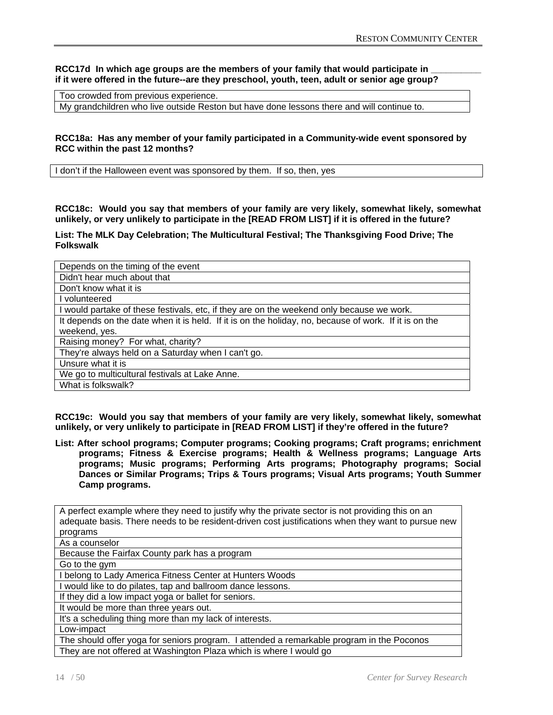RCC17d In which age groups are the members of your family that would participate in **if it were offered in the future--are they preschool, youth, teen, adult or senior age group?** 

Too crowded from previous experience.

My grandchildren who live outside Reston but have done lessons there and will continue to.

#### **RCC18a: Has any member of your family participated in a Community-wide event sponsored by RCC within the past 12 months?**

I don't if the Halloween event was sponsored by them. If so, then, yes

**RCC18c: Would you say that members of your family are very likely, somewhat likely, somewhat unlikely, or very unlikely to participate in the [READ FROM LIST] if it is offered in the future?** 

**List: The MLK Day Celebration; The Multicultural Festival; The Thanksgiving Food Drive; The Folkswalk**

| Depends on the timing of the event                                                                    |
|-------------------------------------------------------------------------------------------------------|
| Didn't hear much about that                                                                           |
| Don't know what it is                                                                                 |
| volunteered                                                                                           |
| would partake of these festivals, etc, if they are on the weekend only because we work.               |
| It depends on the date when it is held. If it is on the holiday, no, because of work. If it is on the |
| weekend, yes.                                                                                         |
| Raising money? For what, charity?                                                                     |
| They're always held on a Saturday when I can't go.                                                    |
| Unsure what it is                                                                                     |
| We go to multicultural festivals at Lake Anne.                                                        |
| What is folkswalk?                                                                                    |

**RCC19c: Would you say that members of your family are very likely, somewhat likely, somewhat unlikely, or very unlikely to participate in [READ FROM LIST] if they're offered in the future?** 

**List: After school programs; Computer programs; Cooking programs; Craft programs; enrichment programs; Fitness & Exercise programs; Health & Wellness programs; Language Arts programs; Music programs; Performing Arts programs; Photography programs; Social Dances or Similar Programs; Trips & Tours programs; Visual Arts programs; Youth Summer Camp programs.** 

A perfect example where they need to justify why the private sector is not providing this on an adequate basis. There needs to be resident-driven cost justifications when they want to pursue new programs As a counselor Because the Fairfax County park has a program Go to the gym I belong to Lady America Fitness Center at Hunters Woods I would like to do pilates, tap and ballroom dance lessons. If they did a low impact yoga or ballet for seniors. It would be more than three years out. It's a scheduling thing more than my lack of interests. Low-impact The should offer yoga for seniors program. I attended a remarkable program in the Poconos They are not offered at Washington Plaza which is where I would go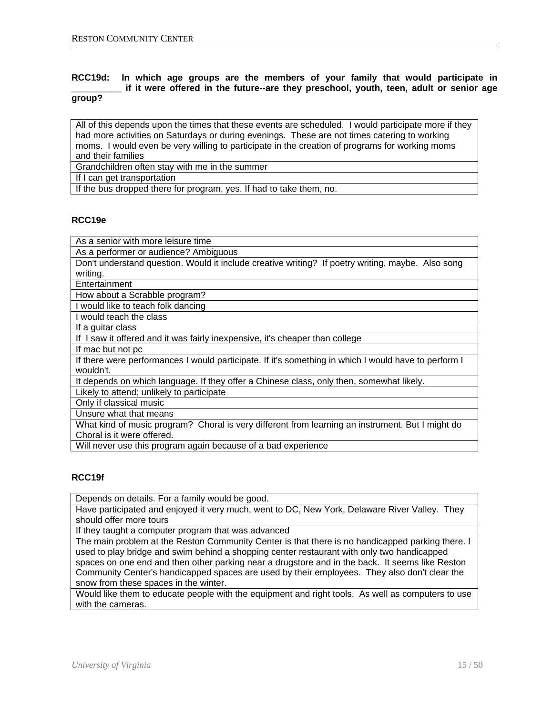#### **RCC19d: In which age groups are the members of your family that would participate in \_\_\_\_\_\_\_\_\_\_ if it were offered in the future--are they preschool, youth, teen, adult or senior age group?**

All of this depends upon the times that these events are scheduled. I would participate more if they had more activities on Saturdays or during evenings. These are not times catering to working moms. I would even be very willing to participate in the creation of programs for working moms and their families

Grandchildren often stay with me in the summer

If I can get transportation

If the bus dropped there for program, yes. If had to take them, no.

# **RCC19e**

As a senior with more leisure time As a performer or audience? Ambiguous Don't understand question. Would it include creative writing? If poetry writing, maybe. Also song writing. **Entertainment** How about a Scrabble program? I would like to teach folk dancing I would teach the class If a guitar class If I saw it offered and it was fairly inexpensive, it's cheaper than college If mac but not pc If there were performances I would participate. If it's something in which I would have to perform I wouldn't. It depends on which language. If they offer a Chinese class, only then, somewhat likely. Likely to attend; unlikely to participate Only if classical music Unsure what that means What kind of music program? Choral is very different from learning an instrument. But I might do Choral is it were offered. Will never use this program again because of a bad experience

# **RCC19f**

Depends on details. For a family would be good.

Have participated and enjoyed it very much, went to DC, New York, Delaware River Valley. They should offer more tours

If they taught a computer program that was advanced

The main problem at the Reston Community Center is that there is no handicapped parking there. I used to play bridge and swim behind a shopping center restaurant with only two handicapped spaces on one end and then other parking near a drugstore and in the back. It seems like Reston Community Center's handicapped spaces are used by their employees. They also don't clear the snow from these spaces in the winter.

Would like them to educate people with the equipment and right tools. As well as computers to use with the cameras.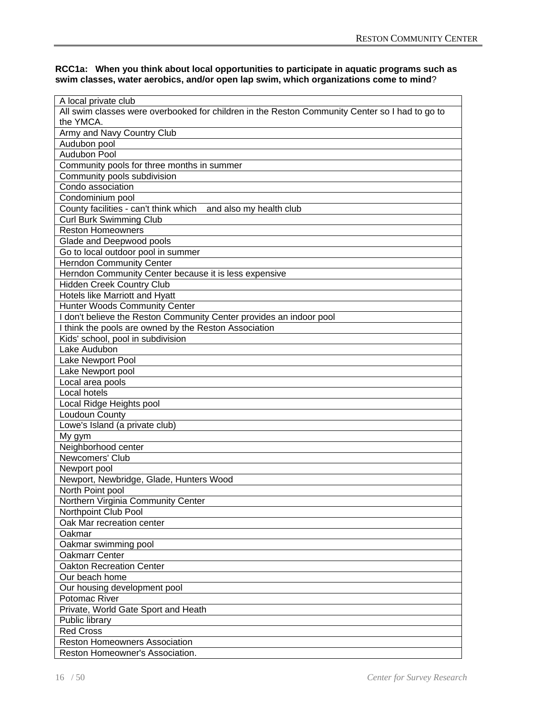#### **RCC1a: When you think about local opportunities to participate in aquatic programs such as swim classes, water aerobics, and/or open lap swim, which organizations come to mind**?

| A local private club                                                                           |
|------------------------------------------------------------------------------------------------|
| All swim classes were overbooked for children in the Reston Community Center so I had to go to |
| the YMCA.                                                                                      |
| Army and Navy Country Club                                                                     |
| Audubon pool                                                                                   |
| <b>Audubon Pool</b>                                                                            |
| Community pools for three months in summer                                                     |
| Community pools subdivision                                                                    |
| Condo association                                                                              |
| Condominium pool                                                                               |
| County facilities - can't think which and also my health club                                  |
| Curl Burk Swimming Club                                                                        |
| <b>Reston Homeowners</b>                                                                       |
| Glade and Deepwood pools                                                                       |
| Go to local outdoor pool in summer                                                             |
| <b>Herndon Community Center</b>                                                                |
| Herndon Community Center because it is less expensive                                          |
| <b>Hidden Creek Country Club</b>                                                               |
| Hotels like Marriott and Hyatt                                                                 |
| Hunter Woods Community Center                                                                  |
| don't believe the Reston Community Center provides an indoor pool                              |
| I think the pools are owned by the Reston Association                                          |
| Kids' school, pool in subdivision                                                              |
| Lake Audubon                                                                                   |
| Lake Newport Pool                                                                              |
| Lake Newport pool                                                                              |
| Local area pools                                                                               |
| Local hotels                                                                                   |
| Local Ridge Heights pool                                                                       |
| Loudoun County                                                                                 |
| Lowe's Island (a private club)                                                                 |
| My gym                                                                                         |
| Neighborhood center                                                                            |
| Newcomers' Club                                                                                |
| Newport pool                                                                                   |
| Newport, Newbridge, Glade, Hunters Wood                                                        |
| North Point pool                                                                               |
| Northern Virginia Community Center                                                             |
| Northpoint Club Pool<br>Oak Mar recreation center                                              |
| Oakmar                                                                                         |
| Oakmar swimming pool                                                                           |
| Oakmarr Center                                                                                 |
| <b>Oakton Recreation Center</b>                                                                |
| Our beach home                                                                                 |
| Our housing development pool                                                                   |
| Potomac River                                                                                  |
| Private, World Gate Sport and Heath                                                            |
| Public library                                                                                 |
| <b>Red Cross</b>                                                                               |
| <b>Reston Homeowners Association</b>                                                           |
| Reston Homeowner's Association.                                                                |
|                                                                                                |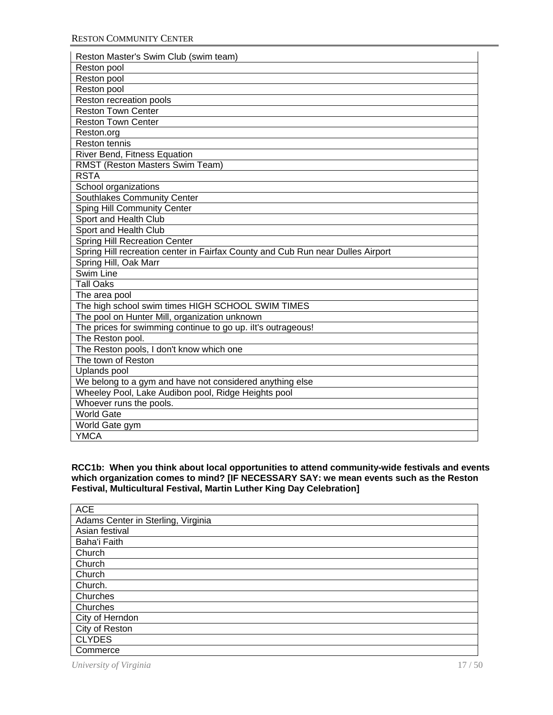| Reston Master's Swim Club (swim team)                                           |
|---------------------------------------------------------------------------------|
| Reston pool                                                                     |
| Reston pool                                                                     |
| Reston pool                                                                     |
| Reston recreation pools                                                         |
| <b>Reston Town Center</b>                                                       |
| <b>Reston Town Center</b>                                                       |
| Reston.org                                                                      |
| <b>Reston tennis</b>                                                            |
| River Bend, Fitness Equation                                                    |
| RMST (Reston Masters Swim Team)                                                 |
| <b>RSTA</b>                                                                     |
| School organizations                                                            |
| Southlakes Community Center                                                     |
| <b>Sping Hill Community Center</b>                                              |
| Sport and Health Club                                                           |
| Sport and Health Club                                                           |
| <b>Spring Hill Recreation Center</b>                                            |
| Spring Hill recreation center in Fairfax County and Cub Run near Dulles Airport |
| Spring Hill, Oak Marr                                                           |
| Swim Line                                                                       |
| <b>Tall Oaks</b>                                                                |
| The area pool                                                                   |
| The high school swim times HIGH SCHOOL SWIM TIMES                               |
| The pool on Hunter Mill, organization unknown                                   |
| The prices for swimming continue to go up. ilt's outrageous!                    |
| The Reston pool.                                                                |
| The Reston pools, I don't know which one                                        |
| The town of Reston                                                              |
| Uplands pool                                                                    |
| We belong to a gym and have not considered anything else                        |
| Wheeley Pool, Lake Audibon pool, Ridge Heights pool                             |
| Whoever runs the pools.                                                         |
| <b>World Gate</b>                                                               |
| World Gate gym                                                                  |
| <b>YMCA</b>                                                                     |

#### **RCC1b: When you think about local opportunities to attend community-wide festivals and events which organization comes to mind? [IF NECESSARY SAY: we mean events such as the Reston Festival, Multicultural Festival, Martin Luther King Day Celebration]**

| <b>ACE</b>                         |
|------------------------------------|
| Adams Center in Sterling, Virginia |
| Asian festival                     |
| Baha'i Faith                       |
| Church                             |
| Church                             |
| Church                             |
| Church.                            |
| Churches                           |
| Churches                           |
| City of Herndon                    |
| City of Reston                     |
| <b>CLYDES</b>                      |
| Commerce                           |

*University of Virginia* 17 / 50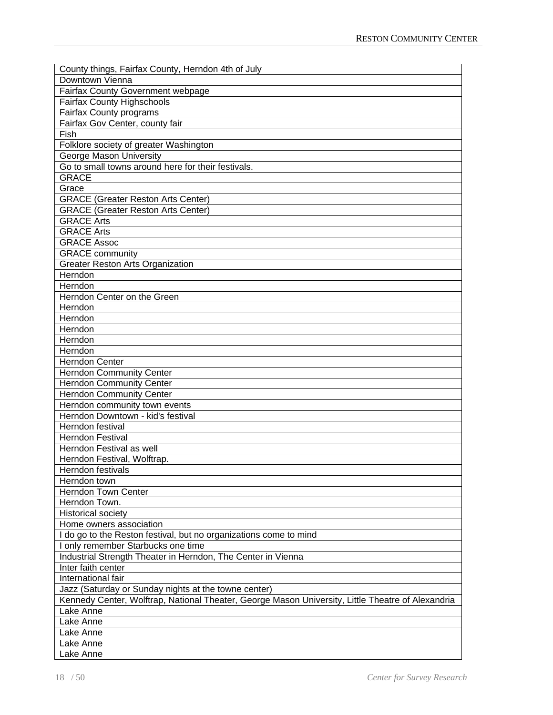| County things, Fairfax County, Herndon 4th of July                                                |
|---------------------------------------------------------------------------------------------------|
| Downtown Vienna                                                                                   |
| <b>Fairfax County Government webpage</b>                                                          |
| <b>Fairfax County Highschools</b>                                                                 |
| <b>Fairfax County programs</b>                                                                    |
| Fairfax Gov Center, county fair                                                                   |
| Fish                                                                                              |
| Folklore society of greater Washington                                                            |
| George Mason University                                                                           |
| Go to small towns around here for their festivals.                                                |
| <b>GRACE</b>                                                                                      |
| Grace                                                                                             |
| <b>GRACE (Greater Reston Arts Center)</b>                                                         |
| <b>GRACE (Greater Reston Arts Center)</b>                                                         |
| <b>GRACE Arts</b>                                                                                 |
| <b>GRACE Arts</b>                                                                                 |
| <b>GRACE Assoc</b>                                                                                |
| <b>GRACE community</b>                                                                            |
|                                                                                                   |
| <b>Greater Reston Arts Organization</b>                                                           |
| Herndon                                                                                           |
| Herndon                                                                                           |
| Herndon Center on the Green                                                                       |
| Herndon                                                                                           |
| Herndon                                                                                           |
| Herndon                                                                                           |
| Herndon                                                                                           |
| Herndon                                                                                           |
| <b>Herndon Center</b>                                                                             |
| <b>Herndon Community Center</b>                                                                   |
| <b>Herndon Community Center</b>                                                                   |
| <b>Herndon Community Center</b>                                                                   |
| Herndon community town events                                                                     |
| Herndon Downtown - kid's festival                                                                 |
| Herndon festival                                                                                  |
| <b>Herndon Festival</b>                                                                           |
| Herndon Festival as well                                                                          |
| Herndon Festival, Wolftrap.                                                                       |
| Herndon festivals                                                                                 |
| Herndon town                                                                                      |
| <b>Herndon Town Center</b>                                                                        |
| Herndon Town.                                                                                     |
| <b>Historical society</b>                                                                         |
| Home owners association                                                                           |
| I do go to the Reston festival, but no organizations come to mind                                 |
| I only remember Starbucks one time                                                                |
| Industrial Strength Theater in Herndon, The Center in Vienna                                      |
| Inter faith center                                                                                |
| International fair                                                                                |
| Jazz (Saturday or Sunday nights at the towne center)                                              |
| Kennedy Center, Wolftrap, National Theater, George Mason University, Little Theatre of Alexandria |
| Lake Anne                                                                                         |
| Lake Anne                                                                                         |
| Lake Anne                                                                                         |
| Lake Anne                                                                                         |
| Lake Anne                                                                                         |
|                                                                                                   |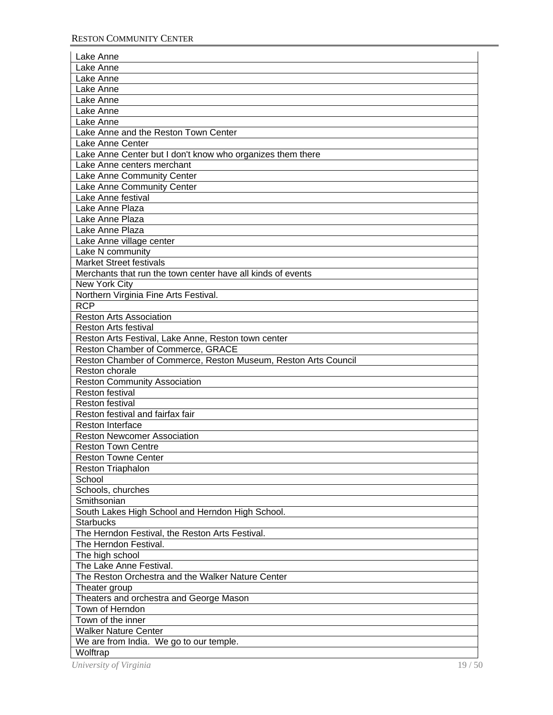| Lake Anne                                                      |       |
|----------------------------------------------------------------|-------|
| Lake Anne                                                      |       |
| Lake Anne                                                      |       |
| Lake Anne                                                      |       |
| Lake Anne                                                      |       |
| Lake Anne                                                      |       |
| Lake Anne                                                      |       |
| Lake Anne and the Reston Town Center                           |       |
| Lake Anne Center                                               |       |
| Lake Anne Center but I don't know who organizes them there     |       |
| Lake Anne centers merchant                                     |       |
| Lake Anne Community Center                                     |       |
| Lake Anne Community Center                                     |       |
| Lake Anne festival                                             |       |
| Lake Anne Plaza                                                |       |
| Lake Anne Plaza                                                |       |
| Lake Anne Plaza                                                |       |
| Lake Anne village center                                       |       |
| Lake N community                                               |       |
| <b>Market Street festivals</b>                                 |       |
| Merchants that run the town center have all kinds of events    |       |
| New York City                                                  |       |
| Northern Virginia Fine Arts Festival.                          |       |
| <b>RCP</b>                                                     |       |
| <b>Reston Arts Association</b>                                 |       |
| <b>Reston Arts festival</b>                                    |       |
| Reston Arts Festival, Lake Anne, Reston town center            |       |
| Reston Chamber of Commerce, GRACE                              |       |
| Reston Chamber of Commerce, Reston Museum, Reston Arts Council |       |
| Reston chorale                                                 |       |
| <b>Reston Community Association</b>                            |       |
| Reston festival                                                |       |
| Reston festival                                                |       |
| Reston festival and fairfax fair                               |       |
| <b>Reston Interface</b>                                        |       |
| <b>Reston Newcomer Association</b>                             |       |
| <b>Reston Town Centre</b>                                      |       |
| <b>Reston Towne Center</b>                                     |       |
| <b>Reston Triaphalon</b>                                       |       |
| School                                                         |       |
| Schools, churches                                              |       |
| Smithsonian                                                    |       |
| South Lakes High School and Herndon High School.               |       |
| <b>Starbucks</b>                                               |       |
| The Herndon Festival, the Reston Arts Festival.                |       |
| The Herndon Festival.                                          |       |
| The high school                                                |       |
| The Lake Anne Festival.                                        |       |
| The Reston Orchestra and the Walker Nature Center              |       |
| Theater group                                                  |       |
| Theaters and orchestra and George Mason                        |       |
| Town of Herndon                                                |       |
| Town of the inner                                              |       |
| <b>Walker Nature Center</b>                                    |       |
| We are from India. We go to our temple.                        |       |
| Wolftrap                                                       |       |
| University of Virginia                                         | 19/50 |
|                                                                |       |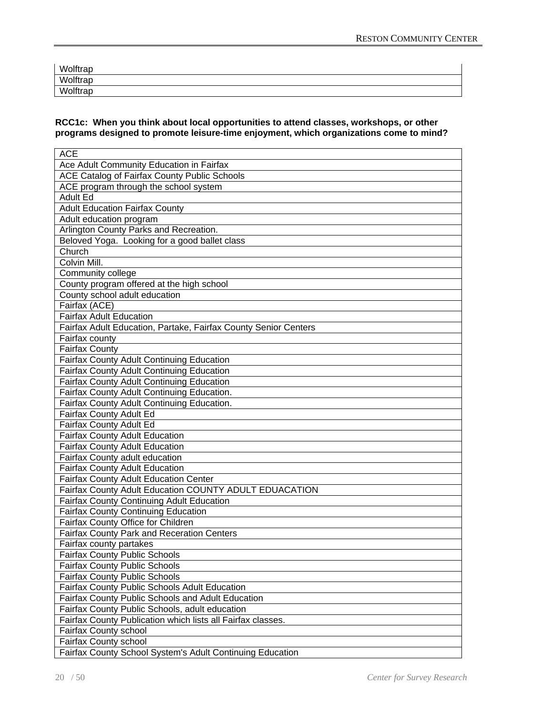| Wolftrap |  |  |
|----------|--|--|
| Wolftrap |  |  |
| Wolftrap |  |  |

#### **RCC1c: When you think about local opportunities to attend classes, workshops, or other programs designed to promote leisure-time enjoyment, which organizations come to mind?**

| <b>ACE</b>                                                      |
|-----------------------------------------------------------------|
| Ace Adult Community Education in Fairfax                        |
| ACE Catalog of Fairfax County Public Schools                    |
| ACE program through the school system                           |
| <b>Adult Ed</b>                                                 |
| <b>Adult Education Fairfax County</b>                           |
| Adult education program                                         |
| Arlington County Parks and Recreation.                          |
| Beloved Yoga. Looking for a good ballet class                   |
| Church                                                          |
| Colvin Mill.                                                    |
| Community college                                               |
| County program offered at the high school                       |
| County school adult education                                   |
| Fairfax (ACE)                                                   |
| <b>Fairfax Adult Education</b>                                  |
| Fairfax Adult Education, Partake, Fairfax County Senior Centers |
| Fairfax county                                                  |
| <b>Fairfax County</b>                                           |
| Fairfax County Adult Continuing Education                       |
| Fairfax County Adult Continuing Education                       |
| Fairfax County Adult Continuing Education                       |
| Fairfax County Adult Continuing Education.                      |
| Fairfax County Adult Continuing Education.                      |
| Fairfax County Adult Ed                                         |
| Fairfax County Adult Ed                                         |
| <b>Fairfax County Adult Education</b>                           |
| <b>Fairfax County Adult Education</b>                           |
| Fairfax County adult education                                  |
| <b>Fairfax County Adult Education</b>                           |
| <b>Fairfax County Adult Education Center</b>                    |
| Fairfax County Adult Education COUNTY ADULT EDUACATION          |
| Fairfax County Continuing Adult Education                       |
| <b>Fairfax County Continuing Education</b>                      |
| Fairfax County Office for Children                              |
| Fairfax County Park and Receration Centers                      |
| Fairfax county partakes                                         |
| <b>Fairfax County Public Schools</b>                            |
| <b>Fairfax County Public Schools</b>                            |
| <b>Fairfax County Public Schools</b>                            |
| <b>Fairfax County Public Schools Adult Education</b>            |
| <b>Fairfax County Public Schools and Adult Education</b>        |
| Fairfax County Public Schools, adult education                  |
| Fairfax County Publication which lists all Fairfax classes.     |
| <b>Fairfax County school</b>                                    |
| Fairfax County school                                           |
| Fairfax County School System's Adult Continuing Education       |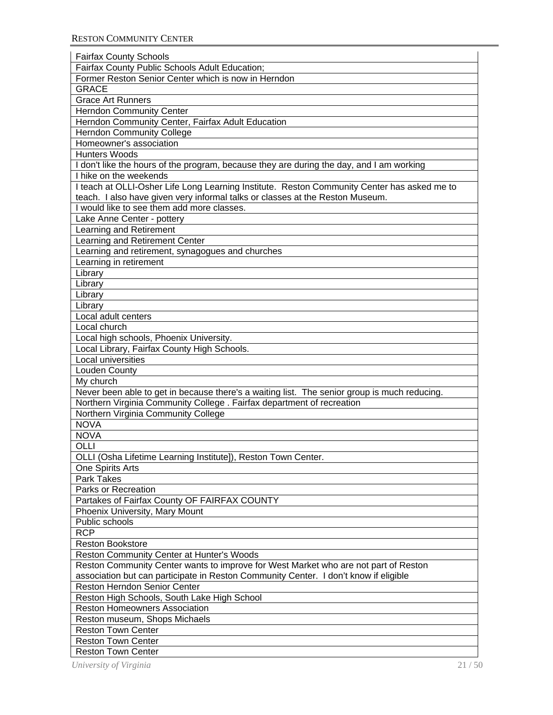| <b>Fairfax County Schools</b>                                                                |
|----------------------------------------------------------------------------------------------|
| Fairfax County Public Schools Adult Education;                                               |
| Former Reston Senior Center which is now in Herndon                                          |
| <b>GRACE</b>                                                                                 |
| <b>Grace Art Runners</b>                                                                     |
| <b>Herndon Community Center</b>                                                              |
| Herndon Community Center, Fairfax Adult Education                                            |
| <b>Herndon Community College</b>                                                             |
| Homeowner's association                                                                      |
| Hunters Woods                                                                                |
| I don't like the hours of the program, because they are during the day, and I am working     |
| I hike on the weekends                                                                       |
| I teach at OLLI-Osher Life Long Learning Institute. Reston Community Center has asked me to  |
| teach. I also have given very informal talks or classes at the Reston Museum.                |
| I would like to see them add more classes.                                                   |
| Lake Anne Center - pottery                                                                   |
| Learning and Retirement                                                                      |
| Learning and Retirement Center                                                               |
| Learning and retirement, synagogues and churches                                             |
| Learning in retirement                                                                       |
| Library                                                                                      |
| Library                                                                                      |
|                                                                                              |
| Library                                                                                      |
| Library<br>Local adult centers                                                               |
|                                                                                              |
| Local church                                                                                 |
| Local high schools, Phoenix University.                                                      |
| Local Library, Fairfax County High Schools.                                                  |
| Local universities                                                                           |
| Louden County                                                                                |
| My church                                                                                    |
| Never been able to get in because there's a waiting list. The senior group is much reducing. |
| Northern Virginia Community College . Fairfax department of recreation                       |
| Northern Virginia Community College                                                          |
| <b>NOVA</b>                                                                                  |
| <b>NOVA</b>                                                                                  |
| OLLI                                                                                         |
| OLLI (Osha Lifetime Learning Institute]), Reston Town Center.                                |
| One Spirits Arts                                                                             |
| <b>Park Takes</b>                                                                            |
| Parks or Recreation                                                                          |
| Partakes of Fairfax County OF FAIRFAX COUNTY                                                 |
| Phoenix University, Mary Mount                                                               |
| Public schools                                                                               |
| <b>RCP</b>                                                                                   |
| <b>Reston Bookstore</b>                                                                      |
| Reston Community Center at Hunter's Woods                                                    |
| Reston Community Center wants to improve for West Market who are not part of Reston          |
| association but can participate in Reston Community Center. I don't know if eligible         |
| <b>Reston Herndon Senior Center</b>                                                          |
| Reston High Schools, South Lake High School                                                  |
| <b>Reston Homeowners Association</b>                                                         |
| Reston museum, Shops Michaels                                                                |
| <b>Reston Town Center</b>                                                                    |
| <b>Reston Town Center</b>                                                                    |
| <b>Reston Town Center</b>                                                                    |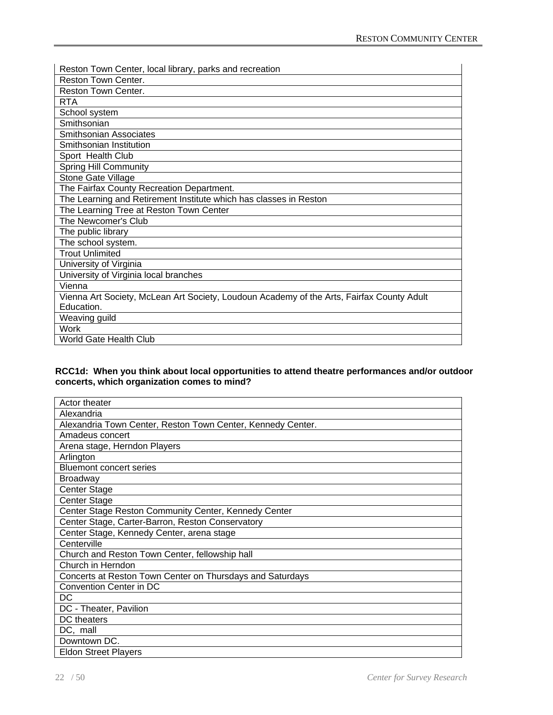| Reston Town Center, local library, parks and recreation                                   |
|-------------------------------------------------------------------------------------------|
| Reston Town Center.                                                                       |
| Reston Town Center.                                                                       |
| <b>RTA</b>                                                                                |
| School system                                                                             |
| Smithsonian                                                                               |
| <b>Smithsonian Associates</b>                                                             |
| Smithsonian Institution                                                                   |
| Sport Health Club                                                                         |
| <b>Spring Hill Community</b>                                                              |
| Stone Gate Village                                                                        |
| The Fairfax County Recreation Department.                                                 |
| The Learning and Retirement Institute which has classes in Reston                         |
| The Learning Tree at Reston Town Center                                                   |
| The Newcomer's Club                                                                       |
| The public library                                                                        |
| The school system.                                                                        |
| <b>Trout Unlimited</b>                                                                    |
| University of Virginia                                                                    |
| University of Virginia local branches                                                     |
| Vienna                                                                                    |
| Vienna Art Society, McLean Art Society, Loudoun Academy of the Arts, Fairfax County Adult |
| Education.                                                                                |
| Weaving guild                                                                             |
| <b>Work</b>                                                                               |
| World Gate Health Club                                                                    |

#### **RCC1d: When you think about local opportunities to attend theatre performances and/or outdoor concerts, which organization comes to mind?**

| Actor theater                                               |
|-------------------------------------------------------------|
| Alexandria                                                  |
| Alexandria Town Center, Reston Town Center, Kennedy Center. |
| Amadeus concert                                             |
| Arena stage, Herndon Players                                |
| Arlington                                                   |
| <b>Bluemont concert series</b>                              |
| <b>Broadway</b>                                             |
| <b>Center Stage</b>                                         |
| <b>Center Stage</b>                                         |
| Center Stage Reston Community Center, Kennedy Center        |
| Center Stage, Carter-Barron, Reston Conservatory            |
| Center Stage, Kennedy Center, arena stage                   |
| Centerville                                                 |
| Church and Reston Town Center, fellowship hall              |
| Church in Herndon                                           |
| Concerts at Reston Town Center on Thursdays and Saturdays   |
| Convention Center in DC                                     |
| DC                                                          |
| DC - Theater, Pavilion                                      |
| DC theaters                                                 |
| DC, mall                                                    |
| Downtown DC.                                                |
| <b>Eldon Street Players</b>                                 |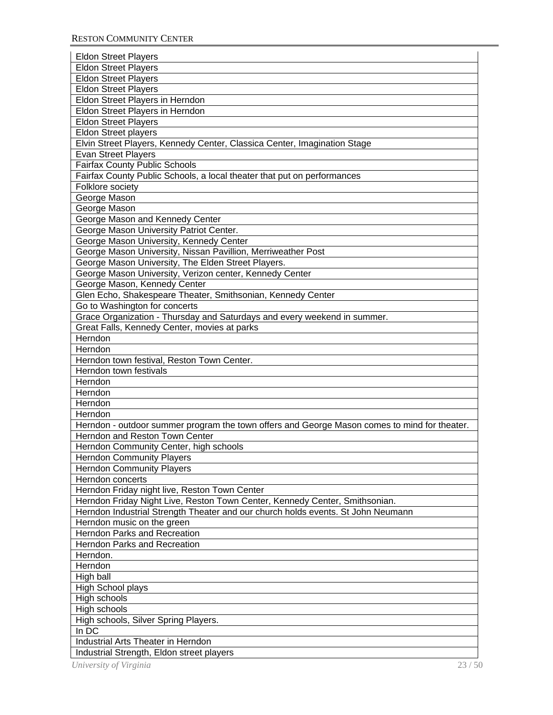| <b>Eldon Street Players</b>                                                                  |
|----------------------------------------------------------------------------------------------|
| <b>Eldon Street Players</b>                                                                  |
| <b>Eldon Street Players</b>                                                                  |
| <b>Eldon Street Players</b>                                                                  |
| Eldon Street Players in Herndon                                                              |
| Eldon Street Players in Herndon                                                              |
| <b>Eldon Street Players</b>                                                                  |
| <b>Eldon Street players</b>                                                                  |
| Elvin Street Players, Kennedy Center, Classica Center, Imagination Stage                     |
| <b>Evan Street Players</b>                                                                   |
| <b>Fairfax County Public Schools</b>                                                         |
| Fairfax County Public Schools, a local theater that put on performances                      |
| Folklore society                                                                             |
| George Mason                                                                                 |
| George Mason                                                                                 |
| George Mason and Kennedy Center                                                              |
| George Mason University Patriot Center.                                                      |
| George Mason University, Kennedy Center                                                      |
| George Mason University, Nissan Pavillion, Merriweather Post                                 |
| George Mason University, The Elden Street Players.                                           |
| George Mason University, Verizon center, Kennedy Center                                      |
| George Mason, Kennedy Center                                                                 |
| Glen Echo, Shakespeare Theater, Smithsonian, Kennedy Center                                  |
| Go to Washington for concerts                                                                |
| Grace Organization - Thursday and Saturdays and every weekend in summer.                     |
| Great Falls, Kennedy Center, movies at parks                                                 |
| Herndon                                                                                      |
| Herndon                                                                                      |
| Herndon town festival, Reston Town Center.                                                   |
| Herndon town festivals                                                                       |
| Herndon                                                                                      |
| Herndon                                                                                      |
|                                                                                              |
| Herndon                                                                                      |
| Herndon                                                                                      |
| Herndon - outdoor summer program the town offers and George Mason comes to mind for theater. |
| Herndon and Reston Town Center                                                               |
| Herndon Community Center, high schools                                                       |
| <b>Herndon Community Players</b>                                                             |
| <b>Herndon Community Players</b>                                                             |
| Herndon concerts                                                                             |
| Herndon Friday night live, Reston Town Center                                                |
| Herndon Friday Night Live, Reston Town Center, Kennedy Center, Smithsonian.                  |
| Herndon Industrial Strength Theater and our church holds events. St John Neumann             |
| Herndon music on the green                                                                   |
| <b>Herndon Parks and Recreation</b>                                                          |
| <b>Herndon Parks and Recreation</b>                                                          |
| Herndon.                                                                                     |
| Herndon                                                                                      |
| High ball                                                                                    |
| High School plays                                                                            |
| High schools                                                                                 |
| High schools                                                                                 |
| High schools, Silver Spring Players.                                                         |
| In DC                                                                                        |
| Industrial Arts Theater in Herndon                                                           |
| Industrial Strength, Eldon street players                                                    |
| University of Virginia<br>23/50                                                              |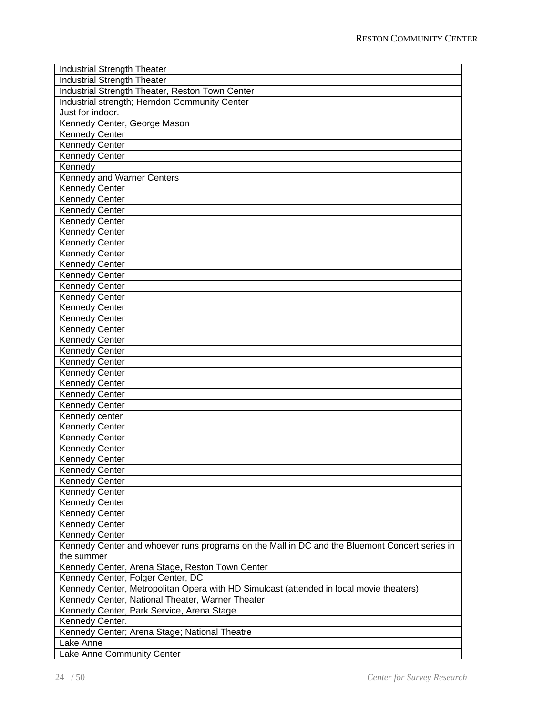| <b>Industrial Strength Theater</b>                                                                          |
|-------------------------------------------------------------------------------------------------------------|
| <b>Industrial Strength Theater</b>                                                                          |
| Industrial Strength Theater, Reston Town Center                                                             |
| Industrial strength; Herndon Community Center                                                               |
| Just for indoor.                                                                                            |
| Kennedy Center, George Mason                                                                                |
| <b>Kennedy Center</b>                                                                                       |
| <b>Kennedy Center</b>                                                                                       |
| <b>Kennedy Center</b>                                                                                       |
| Kennedy                                                                                                     |
| Kennedy and Warner Centers                                                                                  |
| <b>Kennedy Center</b>                                                                                       |
| <b>Kennedy Center</b>                                                                                       |
| <b>Kennedy Center</b>                                                                                       |
| <b>Kennedy Center</b>                                                                                       |
| <b>Kennedy Center</b>                                                                                       |
| <b>Kennedy Center</b>                                                                                       |
| <b>Kennedy Center</b>                                                                                       |
| <b>Kennedy Center</b>                                                                                       |
| <b>Kennedy Center</b>                                                                                       |
| <b>Kennedy Center</b>                                                                                       |
| <b>Kennedy Center</b>                                                                                       |
| <b>Kennedy Center</b>                                                                                       |
| <b>Kennedy Center</b>                                                                                       |
| <b>Kennedy Center</b>                                                                                       |
| <b>Kennedy Center</b>                                                                                       |
| <b>Kennedy Center</b>                                                                                       |
| <b>Kennedy Center</b>                                                                                       |
| <b>Kennedy Center</b>                                                                                       |
| <b>Kennedy Center</b>                                                                                       |
| <b>Kennedy Center</b>                                                                                       |
| <b>Kennedy Center</b>                                                                                       |
| Kennedy center                                                                                              |
| <b>Kennedy Center</b>                                                                                       |
| <b>Kennedy Center</b>                                                                                       |
| <b>Kennedy Center</b>                                                                                       |
| <b>Kennedy Center</b>                                                                                       |
| <b>Kennedy Center</b>                                                                                       |
| <b>Kennedy Center</b>                                                                                       |
| <b>Kennedy Center</b>                                                                                       |
| <b>Kennedy Center</b>                                                                                       |
|                                                                                                             |
| <b>Kennedy Center</b>                                                                                       |
| <b>Kennedy Center</b>                                                                                       |
| <b>Kennedy Center</b>                                                                                       |
| Kennedy Center and whoever runs programs on the Mall in DC and the Bluemont Concert series in<br>the summer |
| Kennedy Center, Arena Stage, Reston Town Center                                                             |
| Kennedy Center, Folger Center, DC                                                                           |
| Kennedy Center, Metropolitan Opera with HD Simulcast (attended in local movie theaters)                     |
| Kennedy Center, National Theater, Warner Theater                                                            |
| Kennedy Center, Park Service, Arena Stage                                                                   |
| Kennedy Center.                                                                                             |
|                                                                                                             |
| Kennedy Center; Arena Stage; National Theatre                                                               |
| Lake Anne                                                                                                   |
| Lake Anne Community Center                                                                                  |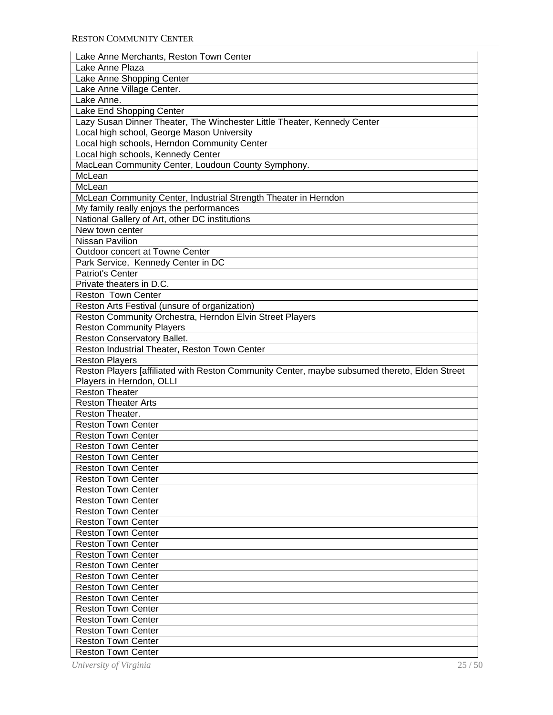| Lake Anne Merchants, Reston Town Center                                                       |
|-----------------------------------------------------------------------------------------------|
| Lake Anne Plaza                                                                               |
| Lake Anne Shopping Center                                                                     |
| Lake Anne Village Center.                                                                     |
| Lake Anne.                                                                                    |
| Lake End Shopping Center                                                                      |
| Lazy Susan Dinner Theater, The Winchester Little Theater, Kennedy Center                      |
| Local high school, George Mason University                                                    |
| Local high schools, Herndon Community Center                                                  |
| Local high schools, Kennedy Center                                                            |
| MacLean Community Center, Loudoun County Symphony.                                            |
| McLean                                                                                        |
| McLean                                                                                        |
| McLean Community Center, Industrial Strength Theater in Herndon                               |
| My family really enjoys the performances                                                      |
| National Gallery of Art, other DC institutions                                                |
| New town center                                                                               |
| <b>Nissan Pavilion</b>                                                                        |
| <b>Outdoor concert at Towne Center</b>                                                        |
| Park Service, Kennedy Center in DC                                                            |
| Patriot's Center                                                                              |
| Private theaters in D.C.                                                                      |
| <b>Reston Town Center</b>                                                                     |
| Reston Arts Festival (unsure of organization)                                                 |
| Reston Community Orchestra, Herndon Elvin Street Players                                      |
| <b>Reston Community Players</b>                                                               |
| Reston Conservatory Ballet.                                                                   |
| Reston Industrial Theater, Reston Town Center                                                 |
| <b>Reston Players</b>                                                                         |
| Reston Players [affiliated with Reston Community Center, maybe subsumed thereto, Elden Street |
| Players in Herndon, OLLI                                                                      |
| <b>Reston Theater</b>                                                                         |
| <b>Reston Theater Arts</b>                                                                    |
| Reston Theater.                                                                               |
| <b>Reston Town Center</b>                                                                     |
| <b>Reston Town Center</b>                                                                     |
| <b>Reston Town Center</b>                                                                     |
| <b>Reston Town Center</b>                                                                     |
| <b>Reston Town Center</b>                                                                     |
| <b>Reston Town Center</b>                                                                     |
| <b>Reston Town Center</b>                                                                     |
| <b>Reston Town Center</b>                                                                     |
| <b>Reston Town Center</b>                                                                     |
| <b>Reston Town Center</b>                                                                     |
| <b>Reston Town Center</b>                                                                     |
| <b>Reston Town Center</b>                                                                     |
| <b>Reston Town Center</b>                                                                     |
| <b>Reston Town Center</b>                                                                     |
| <b>Reston Town Center</b>                                                                     |
| <b>Reston Town Center</b>                                                                     |
| <b>Reston Town Center</b>                                                                     |
| <b>Reston Town Center</b>                                                                     |
| <b>Reston Town Center</b>                                                                     |
| <b>Reston Town Center</b>                                                                     |
| <b>Reston Town Center</b>                                                                     |
| <b>Reston Town Center</b>                                                                     |
| 25/50<br>University of Virginia                                                               |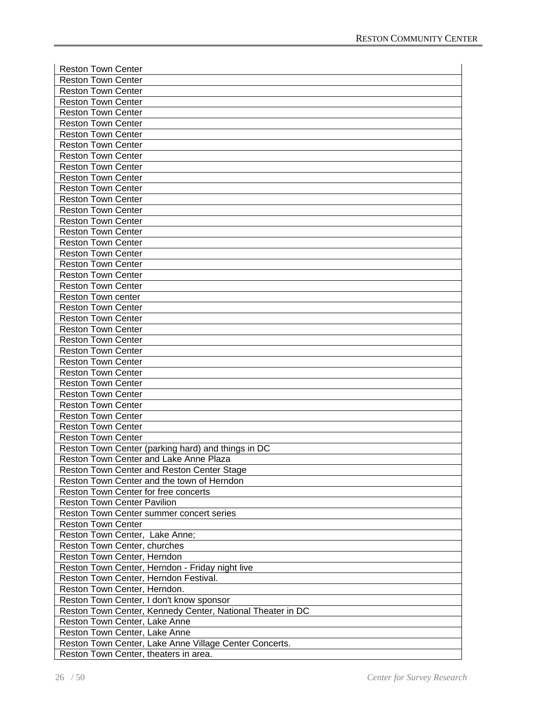| <b>Reston Town Center</b>                                  |
|------------------------------------------------------------|
| <b>Reston Town Center</b>                                  |
| <b>Reston Town Center</b>                                  |
| <b>Reston Town Center</b>                                  |
| <b>Reston Town Center</b>                                  |
|                                                            |
| <b>Reston Town Center</b>                                  |
| <b>Reston Town Center</b>                                  |
| <b>Reston Town Center</b>                                  |
| <b>Reston Town Center</b>                                  |
| <b>Reston Town Center</b>                                  |
| <b>Reston Town Center</b>                                  |
| <b>Reston Town Center</b>                                  |
| <b>Reston Town Center</b>                                  |
| <b>Reston Town Center</b>                                  |
| <b>Reston Town Center</b>                                  |
| <b>Reston Town Center</b>                                  |
| <b>Reston Town Center</b>                                  |
| <b>Reston Town Center</b>                                  |
| <b>Reston Town Center</b>                                  |
| <b>Reston Town Center</b>                                  |
| <b>Reston Town Center</b>                                  |
| <b>Reston Town center</b>                                  |
| <b>Reston Town Center</b>                                  |
| <b>Reston Town Center</b>                                  |
| <b>Reston Town Center</b>                                  |
| <b>Reston Town Center</b>                                  |
|                                                            |
| <b>Reston Town Center</b>                                  |
| <b>Reston Town Center</b>                                  |
| <b>Reston Town Center</b>                                  |
| <b>Reston Town Center</b>                                  |
| <b>Reston Town Center</b>                                  |
| <b>Reston Town Center</b>                                  |
| <b>Reston Town Center</b>                                  |
| <b>Reston Town Center</b>                                  |
| <b>Reston Town Center</b>                                  |
| Reston Town Center (parking hard) and things in DC         |
| Reston Town Center and Lake Anne Plaza                     |
| Reston Town Center and Reston Center Stage                 |
| Reston Town Center and the town of Herndon                 |
| Reston Town Center for free concerts                       |
| <b>Reston Town Center Pavilion</b>                         |
| Reston Town Center summer concert series                   |
| <b>Reston Town Center</b>                                  |
| Reston Town Center, Lake Anne;                             |
| Reston Town Center, churches                               |
| Reston Town Center, Herndon                                |
| Reston Town Center, Herndon - Friday night live            |
| Reston Town Center, Herndon Festival.                      |
| Reston Town Center, Herndon.                               |
|                                                            |
| Reston Town Center, I don't know sponsor                   |
| Reston Town Center, Kennedy Center, National Theater in DC |
| Reston Town Center, Lake Anne                              |
| Reston Town Center, Lake Anne                              |
| Reston Town Center, Lake Anne Village Center Concerts.     |
| Reston Town Center, theaters in area.                      |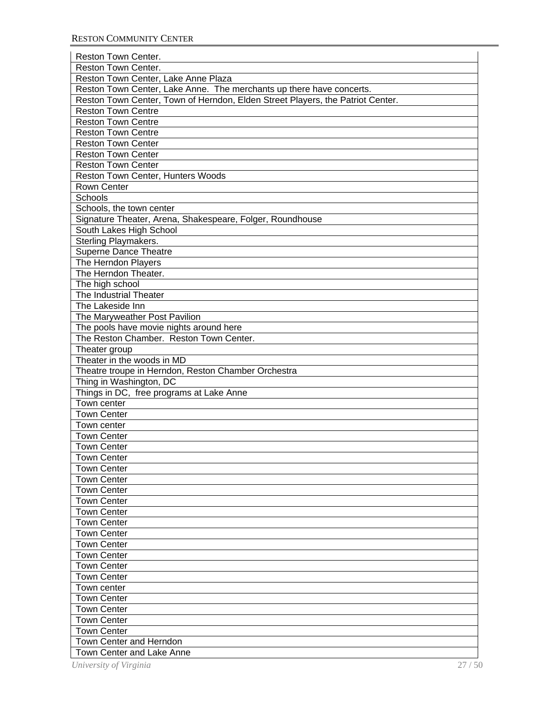| Reston Town Center.                                                            |
|--------------------------------------------------------------------------------|
| <b>Reston Town Center.</b>                                                     |
| Reston Town Center, Lake Anne Plaza                                            |
| Reston Town Center, Lake Anne. The merchants up there have concerts.           |
| Reston Town Center, Town of Herndon, Elden Street Players, the Patriot Center. |
| <b>Reston Town Centre</b>                                                      |
| <b>Reston Town Centre</b>                                                      |
|                                                                                |
| <b>Reston Town Centre</b>                                                      |
| <b>Reston Town Center</b>                                                      |
| <b>Reston Town Center</b>                                                      |
| <b>Reston Town Center</b>                                                      |
| Reston Town Center, Hunters Woods                                              |
| Rown Center                                                                    |
| Schools                                                                        |
| Schools, the town center                                                       |
| Signature Theater, Arena, Shakespeare, Folger, Roundhouse                      |
| South Lakes High School                                                        |
| Sterling Playmakers.                                                           |
| <b>Superne Dance Theatre</b>                                                   |
| The Herndon Players                                                            |
| The Herndon Theater.                                                           |
| The high school                                                                |
| The Industrial Theater                                                         |
| The Lakeside Inn                                                               |
| The Maryweather Post Pavilion                                                  |
| The pools have movie nights around here                                        |
| The Reston Chamber. Reston Town Center.                                        |
| Theater group                                                                  |
| Theater in the woods in MD                                                     |
| Theatre troupe in Herndon, Reston Chamber Orchestra                            |
| Thing in Washington, DC                                                        |
| Things in DC, free programs at Lake Anne                                       |
| Town center                                                                    |
| <b>Town Center</b>                                                             |
| Town center                                                                    |
| <b>Town Center</b>                                                             |
| <b>Town Center</b>                                                             |
| Town Center                                                                    |
| <b>Town Center</b>                                                             |
| <b>Town Center</b>                                                             |
| <b>Town Center</b>                                                             |
|                                                                                |
| <b>Town Center</b>                                                             |
| <b>Town Center</b>                                                             |
| <b>Town Center</b>                                                             |
| <b>Town Center</b>                                                             |
| <b>Town Center</b>                                                             |
| <b>Town Center</b>                                                             |
| <b>Town Center</b>                                                             |
| <b>Town Center</b>                                                             |
| Town center                                                                    |
| <b>Town Center</b>                                                             |
| <b>Town Center</b>                                                             |
| <b>Town Center</b>                                                             |
| <b>Town Center</b>                                                             |
| <b>Town Center and Herndon</b>                                                 |
| Town Center and Lake Anne                                                      |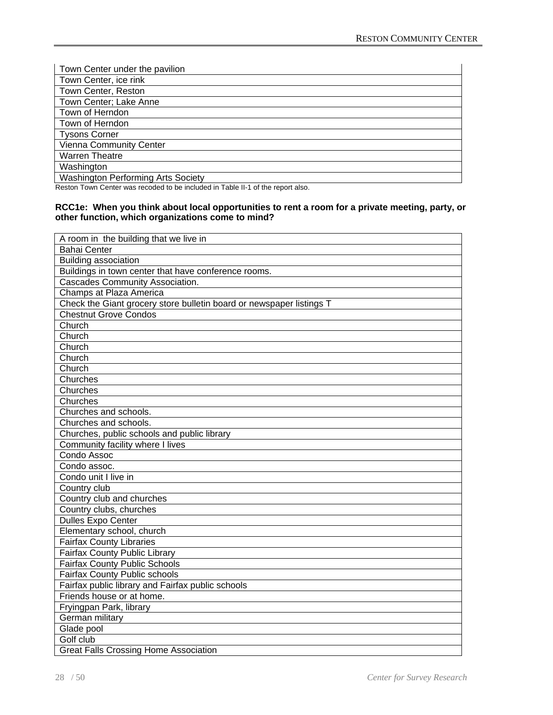| Town Center under the pavilion            |
|-------------------------------------------|
| Town Center, ice rink                     |
| Town Center, Reston                       |
| Town Center; Lake Anne                    |
| Town of Herndon                           |
| Town of Herndon                           |
| <b>Tysons Corner</b>                      |
| Vienna Community Center                   |
| <b>Warren Theatre</b>                     |
| Washington                                |
| <b>Washington Performing Arts Society</b> |

Reston Town Center was recoded to be included in Table II-1 of the report also.

#### **RCC1e: When you think about local opportunities to rent a room for a private meeting, party, or other function, which organizations come to mind?**

| A room in the building that we live in                               |
|----------------------------------------------------------------------|
| <b>Bahai Center</b>                                                  |
| <b>Building association</b>                                          |
| Buildings in town center that have conference rooms.                 |
| Cascades Community Association.                                      |
| Champs at Plaza America                                              |
| Check the Giant grocery store bulletin board or newspaper listings T |
| <b>Chestnut Grove Condos</b>                                         |
| Church                                                               |
| Church                                                               |
| Church                                                               |
| Church                                                               |
| Church                                                               |
| Churches                                                             |
| Churches                                                             |
| Churches                                                             |
| Churches and schools.                                                |
| Churches and schools.                                                |
| Churches, public schools and public library                          |
| Community facility where I lives                                     |
| Condo Assoc                                                          |
| Condo assoc.                                                         |
| Condo unit I live in                                                 |
| Country club                                                         |
| Country club and churches                                            |
| Country clubs, churches                                              |
| <b>Dulles Expo Center</b>                                            |
| Elementary school, church                                            |
| <b>Fairfax County Libraries</b>                                      |
| <b>Fairfax County Public Library</b>                                 |
| <b>Fairfax County Public Schools</b>                                 |
| <b>Fairfax County Public schools</b>                                 |
| Fairfax public library and Fairfax public schools                    |
| Friends house or at home.                                            |
| Fryingpan Park, library                                              |
| German military                                                      |
| Glade pool                                                           |
| Golf club                                                            |
| <b>Great Falls Crossing Home Association</b>                         |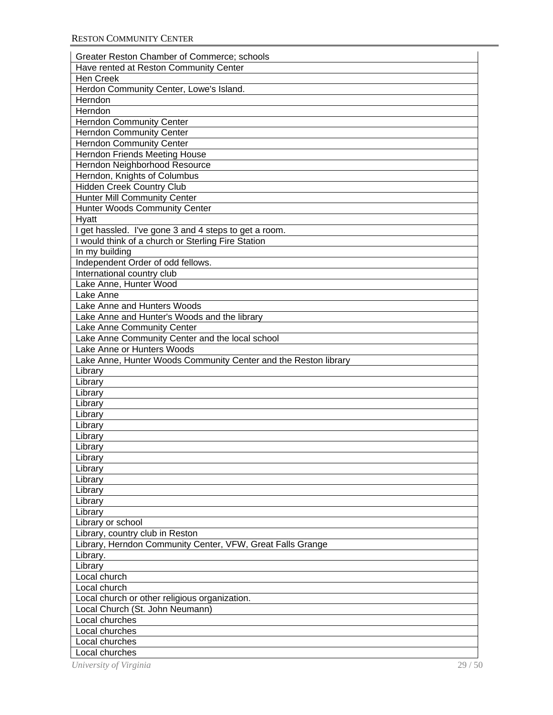| Greater Reston Chamber of Commerce; schools                     |
|-----------------------------------------------------------------|
| Have rented at Reston Community Center                          |
| <b>Hen Creek</b>                                                |
| Herdon Community Center, Lowe's Island.                         |
| Herndon                                                         |
| Herndon                                                         |
| <b>Herndon Community Center</b>                                 |
| <b>Herndon Community Center</b>                                 |
| <b>Herndon Community Center</b>                                 |
| Herndon Friends Meeting House                                   |
| Herndon Neighborhood Resource                                   |
| Herndon, Knights of Columbus                                    |
| Hidden Creek Country Club                                       |
| <b>Hunter Mill Community Center</b>                             |
| Hunter Woods Community Center                                   |
| Hyatt                                                           |
| I get hassled. I've gone 3 and 4 steps to get a room.           |
| I would think of a church or Sterling Fire Station              |
| In my building                                                  |
| Independent Order of odd fellows.                               |
|                                                                 |
| International country club                                      |
| Lake Anne, Hunter Wood<br>Lake Anne                             |
|                                                                 |
| Lake Anne and Hunters Woods                                     |
| Lake Anne and Hunter's Woods and the library                    |
| Lake Anne Community Center                                      |
| Lake Anne Community Center and the local school                 |
| Lake Anne or Hunters Woods                                      |
| Lake Anne, Hunter Woods Community Center and the Reston library |
| Library                                                         |
| Library                                                         |
| Library                                                         |
| Library                                                         |
| Library                                                         |
| Library                                                         |
| Library                                                         |
| Library                                                         |
| Library                                                         |
| Library                                                         |
| Library                                                         |
| Library                                                         |
| Library                                                         |
| Library                                                         |
| Library or school                                               |
| Library, country club in Reston                                 |
| Library, Herndon Community Center, VFW, Great Falls Grange      |
| Library.                                                        |
| Library                                                         |
| Local church                                                    |
| Local church                                                    |
| Local church or other religious organization.                   |
| Local Church (St. John Neumann)                                 |
| Local churches                                                  |
| Local churches                                                  |
| Local churches                                                  |
| Local churches                                                  |
|                                                                 |
| University of Virginia<br>29/50                                 |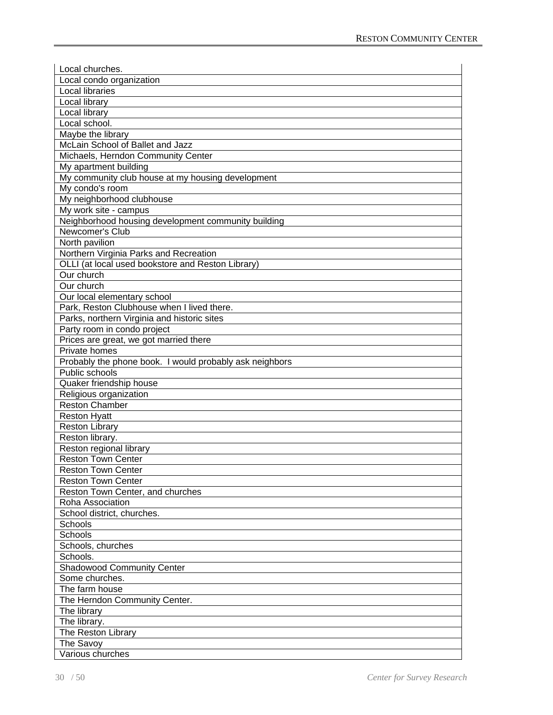| Local churches.                                         |
|---------------------------------------------------------|
| Local condo organization                                |
| Local libraries                                         |
| Local library                                           |
| Local library                                           |
| Local school.                                           |
| Maybe the library                                       |
| McLain School of Ballet and Jazz                        |
| Michaels, Herndon Community Center                      |
| My apartment building                                   |
| My community club house at my housing development       |
| My condo's room                                         |
| My neighborhood clubhouse                               |
| My work site - campus                                   |
| Neighborhood housing development community building     |
| Newcomer's Club                                         |
| North pavilion                                          |
| Northern Virginia Parks and Recreation                  |
| OLLI (at local used bookstore and Reston Library)       |
| Our church                                              |
| Our church                                              |
| Our local elementary school                             |
| Park, Reston Clubhouse when I lived there.              |
| Parks, northern Virginia and historic sites             |
| Party room in condo project                             |
|                                                         |
| Prices are great, we got married there                  |
| Private homes                                           |
| Probably the phone book. I would probably ask neighbors |
| Public schools                                          |
| Quaker friendship house                                 |
| Religious organization                                  |
| <b>Reston Chamber</b>                                   |
| <b>Reston Hyatt</b>                                     |
| <b>Reston Library</b>                                   |
| Reston library.                                         |
| Reston regional library                                 |
| <b>Reston Town Center</b>                               |
| <b>Reston Town Center</b>                               |
| <b>Reston Town Center</b>                               |
| Reston Town Center, and churches                        |
| Roha Association                                        |
| School district, churches.                              |
| Schools                                                 |
| Schools                                                 |
| Schools, churches                                       |
| Schools.                                                |
| <b>Shadowood Community Center</b>                       |
| Some churches.                                          |
| The farm house                                          |
| The Herndon Community Center.                           |
| The library                                             |
| The library.                                            |
| The Reston Library                                      |
| The Savoy                                               |
| Various churches                                        |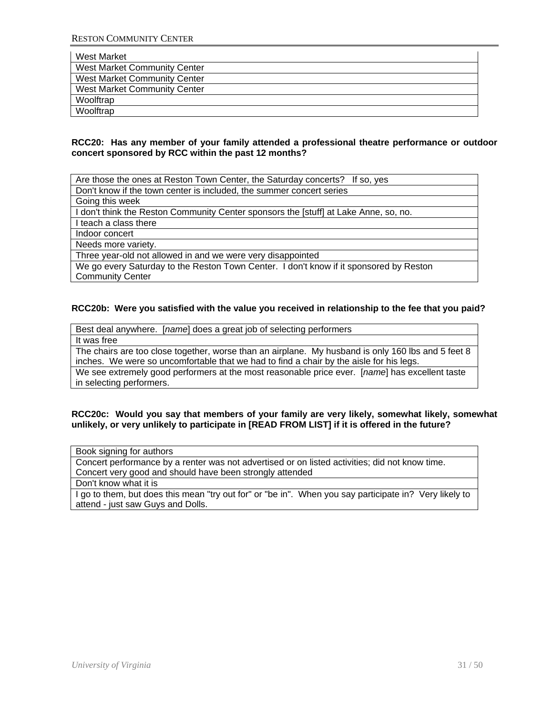| West Market                         |
|-------------------------------------|
| <b>West Market Community Center</b> |
| <b>West Market Community Center</b> |
| <b>West Market Community Center</b> |
| Woolftrap                           |
| Woolftrap                           |

#### **RCC20: Has any member of your family attended a professional theatre performance or outdoor concert sponsored by RCC within the past 12 months?**

Are those the ones at Reston Town Center, the Saturday concerts? If so, yes

Don't know if the town center is included, the summer concert series

Going this week

I don't think the Reston Community Center sponsors the [stuff] at Lake Anne, so, no.

I teach a class there

Indoor concert

Needs more variety.

Three year-old not allowed in and we were very disappointed

We go every Saturday to the Reston Town Center. I don't know if it sponsored by Reston Community Center

#### **RCC20b: Were you satisfied with the value you received in relationship to the fee that you paid?**

Best deal anywhere. [*name*] does a great job of selecting performers It was free The chairs are too close together, worse than an airplane. My husband is only 160 lbs and 5 feet 8

inches. We were so uncomfortable that we had to find a chair by the aisle for his legs.

We see extremely good performers at the most reasonable price ever. [*name*] has excellent taste in selecting performers.

#### **RCC20c: Would you say that members of your family are very likely, somewhat likely, somewhat unlikely, or very unlikely to participate in [READ FROM LIST] if it is offered in the future?**

| Book signing for authors                                                                               |
|--------------------------------------------------------------------------------------------------------|
| Concert performance by a renter was not advertised or on listed activities; did not know time.         |
| Concert very good and should have been strongly attended                                               |
| Don't know what it is                                                                                  |
| I go to them, but does this mean "try out for" or "be in". When you say participate in? Very likely to |
| attend - just saw Guys and Dolls.                                                                      |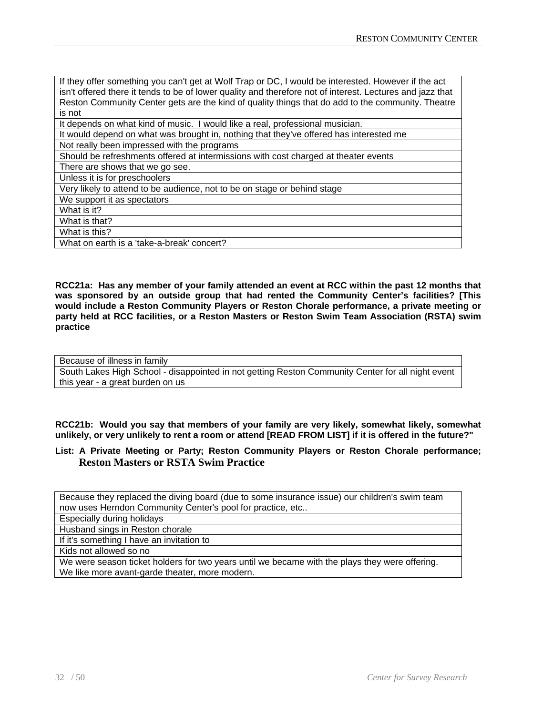| If they offer something you can't get at Wolf Trap or DC, I would be interested. However if the act<br>isn't offered there it tends to be of lower quality and therefore not of interest. Lectures and jazz that |
|------------------------------------------------------------------------------------------------------------------------------------------------------------------------------------------------------------------|
| Reston Community Center gets are the kind of quality things that do add to the community. Theatre                                                                                                                |
| is not                                                                                                                                                                                                           |
| It depends on what kind of music. I would like a real, professional musician.                                                                                                                                    |
| It would depend on what was brought in, nothing that they've offered has interested me                                                                                                                           |
| Not really been impressed with the programs                                                                                                                                                                      |
| Should be refreshments offered at intermissions with cost charged at theater events                                                                                                                              |
| There are shows that we go see.                                                                                                                                                                                  |
| Unless it is for preschoolers                                                                                                                                                                                    |
| Very likely to attend to be audience, not to be on stage or behind stage                                                                                                                                         |
| We support it as spectators                                                                                                                                                                                      |

What is it?

What is that?

What is this?

What on earth is a 'take-a-break' concert?

**RCC21a: Has any member of your family attended an event at RCC within the past 12 months that was sponsored by an outside group that had rented the Community Center's facilities? [This would include a Reston Community Players or Reston Chorale performance, a private meeting or party held at RCC facilities, or a Reston Masters or Reston Swim Team Association (RSTA) swim practice** 

Because of illness in family South Lakes High School - disappointed in not getting Reston Community Center for all night event this year - a great burden on us

**RCC21b: Would you say that members of your family are very likely, somewhat likely, somewhat unlikely, or very unlikely to rent a room or attend [READ FROM LIST] if it is offered in the future?"**

# **List: A Private Meeting or Party; Reston Community Players or Reston Chorale performance; Reston Masters or RSTA Swim Practice**

Because they replaced the diving board (due to some insurance issue) our children's swim team now uses Herndon Community Center's pool for practice, etc..

Especially during holidays

Husband sings in Reston chorale

If it's something I have an invitation to

Kids not allowed so no

We were season ticket holders for two years until we became with the plays they were offering. We like more avant-garde theater, more modern.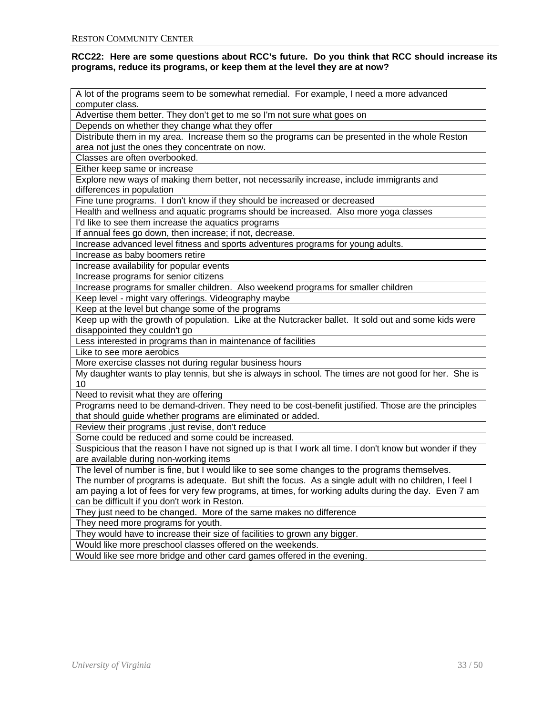#### **RCC22: Here are some questions about RCC's future. Do you think that RCC should increase its programs, reduce its programs, or keep them at the level they are at now?**

| A lot of the programs seem to be somewhat remedial. For example, I need a more advanced                  |
|----------------------------------------------------------------------------------------------------------|
| computer class.                                                                                          |
| Advertise them better. They don't get to me so I'm not sure what goes on                                 |
| Depends on whether they change what they offer                                                           |
| Distribute them in my area. Increase them so the programs can be presented in the whole Reston           |
| area not just the ones they concentrate on now.                                                          |
| Classes are often overbooked.                                                                            |
| Either keep same or increase                                                                             |
| Explore new ways of making them better, not necessarily increase, include immigrants and                 |
| differences in population                                                                                |
| Fine tune programs. I don't know if they should be increased or decreased                                |
| Health and wellness and aquatic programs should be increased. Also more yoga classes                     |
| I'd like to see them increase the aquatics programs                                                      |
| If annual fees go down, then increase; if not, decrease.                                                 |
| Increase advanced level fitness and sports adventures programs for young adults.                         |
| Increase as baby boomers retire                                                                          |
| Increase availability for popular events                                                                 |
| Increase programs for senior citizens                                                                    |
| Increase programs for smaller children. Also weekend programs for smaller children                       |
| Keep level - might vary offerings. Videography maybe                                                     |
| Keep at the level but change some of the programs                                                        |
| Keep up with the growth of population. Like at the Nutcracker ballet. It sold out and some kids were     |
| disappointed they couldn't go                                                                            |
| Less interested in programs than in maintenance of facilities                                            |
| Like to see more aerobics                                                                                |
| More exercise classes not during regular business hours                                                  |
| My daughter wants to play tennis, but she is always in school. The times are not good for her. She is    |
| 10                                                                                                       |
| Need to revisit what they are offering                                                                   |
| Programs need to be demand-driven. They need to be cost-benefit justified. Those are the principles      |
| that should guide whether programs are eliminated or added.                                              |
| Review their programs ,just revise, don't reduce                                                         |
| Some could be reduced and some could be increased.                                                       |
| Suspicious that the reason I have not signed up is that I work all time. I don't know but wonder if they |
| are available during non-working items                                                                   |
| The level of number is fine, but I would like to see some changes to the programs themselves.            |
| The number of programs is adequate. But shift the focus. As a single adult with no children, I feel I    |
| am paying a lot of fees for very few programs, at times, for working adults during the day. Even 7 am    |
| can be difficult if you don't work in Reston.                                                            |
| They just need to be changed. More of the same makes no difference                                       |
| They need more programs for youth.                                                                       |
| They would have to increase their size of facilities to grown any bigger.                                |
| Would like more preschool classes offered on the weekends.                                               |
| Would like see more bridge and other card games offered in the evening.                                  |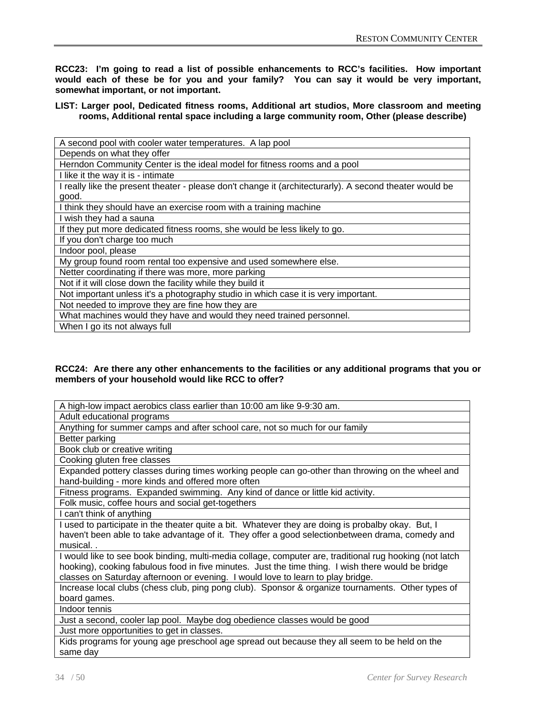**RCC23: I'm going to read a list of possible enhancements to RCC's facilities. How important would each of these be for you and your family? You can say it would be very important, somewhat important, or not important.** 

# **LIST: Larger pool, Dedicated fitness rooms, Additional art studios, More classroom and meeting rooms, Additional rental space including a large community room, Other (please describe)**

| A second pool with cooler water temperatures. A lap pool                                                |
|---------------------------------------------------------------------------------------------------------|
| Depends on what they offer                                                                              |
| Herndon Community Center is the ideal model for fitness rooms and a pool                                |
| I like it the way it is - intimate                                                                      |
| I really like the present theater - please don't change it (architecturarly). A second theater would be |
| good.                                                                                                   |
| I think they should have an exercise room with a training machine                                       |
| I wish they had a sauna                                                                                 |
| If they put more dedicated fitness rooms, she would be less likely to go.                               |
| If you don't charge too much                                                                            |
| Indoor pool, please                                                                                     |
| My group found room rental too expensive and used somewhere else.                                       |
| Netter coordinating if there was more, more parking                                                     |
| Not if it will close down the facility while they build it                                              |
| Not important unless it's a photography studio in which case it is very important.                      |
| Not needed to improve they are fine how they are                                                        |
| What machines would they have and would they need trained personnel.                                    |
| When I go its not always full                                                                           |

#### **RCC24: Are there any other enhancements to the facilities or any additional programs that you or members of your household would like RCC to offer?**

| A high-low impact aerobics class earlier than 10:00 am like 9-9:30 am.                                  |
|---------------------------------------------------------------------------------------------------------|
| Adult educational programs                                                                              |
| Anything for summer camps and after school care, not so much for our family                             |
| Better parking                                                                                          |
| Book club or creative writing                                                                           |
| Cooking gluten free classes                                                                             |
| Expanded pottery classes during times working people can go-other than throwing on the wheel and        |
| hand-building - more kinds and offered more often                                                       |
| Fitness programs. Expanded swimming. Any kind of dance or little kid activity.                          |
| Folk music, coffee hours and social get-togethers                                                       |
| I can't think of anything                                                                               |
| I used to participate in the theater quite a bit. Whatever they are doing is probalby okay. But, I      |
| haven't been able to take advantage of it. They offer a good selectionbetween drama, comedy and         |
| musical                                                                                                 |
| I would like to see book binding, multi-media collage, computer are, traditional rug hooking (not latch |
| hooking), cooking fabulous food in five minutes. Just the time thing. I wish there would be bridge      |
| classes on Saturday afternoon or evening. I would love to learn to play bridge.                         |
| Increase local clubs (chess club, ping pong club). Sponsor & organize tournaments. Other types of       |
| board games.                                                                                            |
| Indoor tennis                                                                                           |
| Just a second, cooler lap pool. Maybe dog obedience classes would be good                               |
| Just more opportunities to get in classes.                                                              |
| Kids programs for young age preschool age spread out because they all seem to be held on the            |
| same day                                                                                                |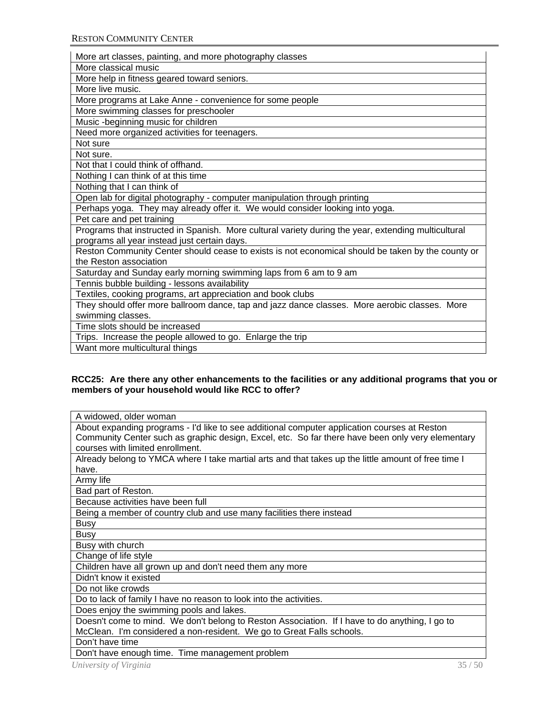| More art classes, painting, and more photography classes                                            |
|-----------------------------------------------------------------------------------------------------|
| More classical music                                                                                |
| More help in fitness geared toward seniors.                                                         |
| More live music.                                                                                    |
| More programs at Lake Anne - convenience for some people                                            |
| More swimming classes for preschooler                                                               |
| Music-beginning music for children                                                                  |
| Need more organized activities for teenagers.                                                       |
| Not sure                                                                                            |
| Not sure.                                                                                           |
| Not that I could think of offhand.                                                                  |
| Nothing I can think of at this time                                                                 |
| Nothing that I can think of                                                                         |
| Open lab for digital photography - computer manipulation through printing                           |
| Perhaps yoga. They may already offer it. We would consider looking into yoga.                       |
| Pet care and pet training                                                                           |
| Programs that instructed in Spanish. More cultural variety during the year, extending multicultural |
| programs all year instead just certain days.                                                        |
| Reston Community Center should cease to exists is not economical should be taken by the county or   |
| the Reston association                                                                              |
| Saturday and Sunday early morning swimming laps from 6 am to 9 am                                   |
| Tennis bubble building - lessons availability                                                       |
| Textiles, cooking programs, art appreciation and book clubs                                         |
| They should offer more ballroom dance, tap and jazz dance classes. More aerobic classes. More       |
| swimming classes.                                                                                   |
| Time slots should be increased                                                                      |
| Trips. Increase the people allowed to go. Enlarge the trip                                          |
| Want more multicultural things                                                                      |

# **RCC25: Are there any other enhancements to the facilities or any additional programs that you or members of your household would like RCC to offer?**

| A widowed, older woman                                                                              |
|-----------------------------------------------------------------------------------------------------|
| About expanding programs - I'd like to see additional computer application courses at Reston        |
| Community Center such as graphic design, Excel, etc. So far there have been only very elementary    |
| courses with limited enrollment.                                                                    |
| Already belong to YMCA where I take martial arts and that takes up the little amount of free time I |
| have.                                                                                               |
| Army life                                                                                           |
| Bad part of Reston.                                                                                 |
| Because activities have been full                                                                   |
| Being a member of country club and use many facilities there instead                                |
| <b>Busy</b>                                                                                         |
| <b>Busy</b>                                                                                         |
| Busy with church                                                                                    |
| Change of life style                                                                                |
| Children have all grown up and don't need them any more                                             |
| Didn't know it existed                                                                              |
| Do not like crowds                                                                                  |
| Do to lack of family I have no reason to look into the activities.                                  |
| Does enjoy the swimming pools and lakes.                                                            |
| Doesn't come to mind. We don't belong to Reston Association. If I have to do anything, I go to      |
| McClean. I'm considered a non-resident. We go to Great Falls schools.                               |
| Don't have time                                                                                     |
| Don't have enough time. Time management problem                                                     |
| University of Virginia<br>35/50                                                                     |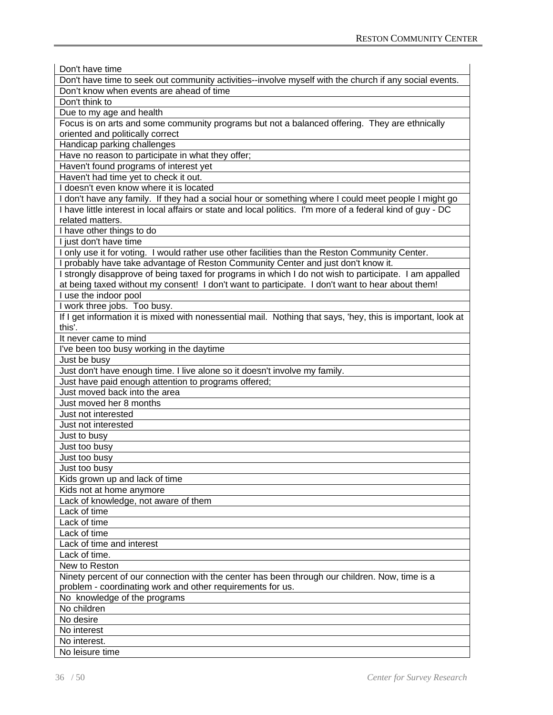| Don't have time                                                                                                        |
|------------------------------------------------------------------------------------------------------------------------|
| Don't have time to seek out community activities--involve myself with the church if any social events.                 |
| Don't know when events are ahead of time                                                                               |
| Don't think to                                                                                                         |
| Due to my age and health                                                                                               |
| Focus is on arts and some community programs but not a balanced offering. They are ethnically                          |
| oriented and politically correct                                                                                       |
| Handicap parking challenges                                                                                            |
| Have no reason to participate in what they offer;                                                                      |
| Haven't found programs of interest yet                                                                                 |
| Haven't had time yet to check it out.                                                                                  |
| I doesn't even know where it is located                                                                                |
| I don't have any family. If they had a social hour or something where I could meet people I might go                   |
| I have little interest in local affairs or state and local politics. I'm more of a federal kind of guy - DC            |
| related matters.                                                                                                       |
| I have other things to do                                                                                              |
| I just don't have time                                                                                                 |
| I only use it for voting. I would rather use other facilities than the Reston Community Center.                        |
| probably have take advantage of Reston Community Center and just don't know it.                                        |
| I strongly disapprove of being taxed for programs in which I do not wish to participate. I am appalled                 |
| at being taxed without my consent! I don't want to participate. I don't want to hear about them!                       |
| I use the indoor pool                                                                                                  |
| I work three jobs. Too busy.                                                                                           |
| If I get information it is mixed with nonessential mail. Nothing that says, 'hey, this is important, look at<br>this'. |
|                                                                                                                        |
| It never came to mind                                                                                                  |
| I've been too busy working in the daytime                                                                              |
| Just be busy<br>Just don't have enough time. I live alone so it doesn't involve my family.                             |
| Just have paid enough attention to programs offered;                                                                   |
| Just moved back into the area                                                                                          |
| Just moved her 8 months                                                                                                |
| Just not interested                                                                                                    |
| Just not interested                                                                                                    |
|                                                                                                                        |
| Just to busy                                                                                                           |
| Just too busy<br>Just too busy                                                                                         |
|                                                                                                                        |
| Just too busy                                                                                                          |
| Kids grown up and lack of time                                                                                         |
| Kids not at home anymore<br>Lack of knowledge, not aware of them                                                       |
| Lack of time                                                                                                           |
| Lack of time                                                                                                           |
|                                                                                                                        |
| Lack of time                                                                                                           |
| Lack of time and interest                                                                                              |
| Lack of time.                                                                                                          |
| New to Reston                                                                                                          |
| Ninety percent of our connection with the center has been through our children. Now, time is a                         |
| problem - coordinating work and other requirements for us.                                                             |
| No knowledge of the programs                                                                                           |
| No children                                                                                                            |
| No desire                                                                                                              |
| No interest                                                                                                            |
| No interest.                                                                                                           |
| No leisure time                                                                                                        |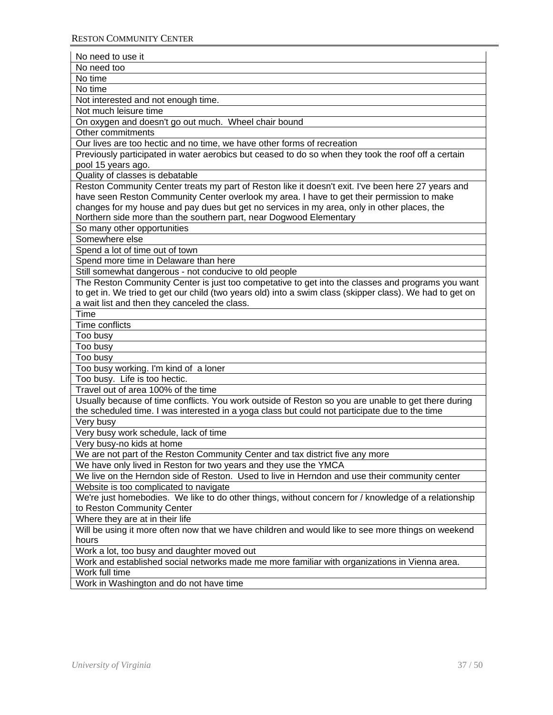| No need too                                                                                                                                                                                           |
|-------------------------------------------------------------------------------------------------------------------------------------------------------------------------------------------------------|
| No time                                                                                                                                                                                               |
| No time                                                                                                                                                                                               |
| Not interested and not enough time.                                                                                                                                                                   |
| Not much leisure time                                                                                                                                                                                 |
| On oxygen and doesn't go out much. Wheel chair bound                                                                                                                                                  |
| Other commitments                                                                                                                                                                                     |
| Our lives are too hectic and no time, we have other forms of recreation                                                                                                                               |
| Previously participated in water aerobics but ceased to do so when they took the roof off a certain                                                                                                   |
| pool 15 years ago.                                                                                                                                                                                    |
| Quality of classes is debatable                                                                                                                                                                       |
| Reston Community Center treats my part of Reston like it doesn't exit. I've been here 27 years and                                                                                                    |
| have seen Reston Community Center overlook my area. I have to get their permission to make                                                                                                            |
| changes for my house and pay dues but get no services in my area, only in other places, the                                                                                                           |
| Northern side more than the southern part, near Dogwood Elementary                                                                                                                                    |
| So many other opportunities                                                                                                                                                                           |
| Somewhere else                                                                                                                                                                                        |
| Spend a lot of time out of town                                                                                                                                                                       |
| Spend more time in Delaware than here                                                                                                                                                                 |
| Still somewhat dangerous - not conducive to old people                                                                                                                                                |
| The Reston Community Center is just too competative to get into the classes and programs you want                                                                                                     |
| to get in. We tried to get our child (two years old) into a swim class (skipper class). We had to get on                                                                                              |
| a wait list and then they canceled the class.                                                                                                                                                         |
| Time                                                                                                                                                                                                  |
| Time conflicts                                                                                                                                                                                        |
| Too busy                                                                                                                                                                                              |
| Too busy                                                                                                                                                                                              |
| Too busy                                                                                                                                                                                              |
|                                                                                                                                                                                                       |
|                                                                                                                                                                                                       |
| Too busy working. I'm kind of a loner                                                                                                                                                                 |
| Too busy. Life is too hectic.                                                                                                                                                                         |
| Travel out of area 100% of the time                                                                                                                                                                   |
| Usually because of time conflicts. You work outside of Reston so you are unable to get there during<br>the scheduled time. I was interested in a yoga class but could not participate due to the time |
| Very busy                                                                                                                                                                                             |
| Very busy work schedule, lack of time                                                                                                                                                                 |
| Very busy-no kids at home                                                                                                                                                                             |
| We are not part of the Reston Community Center and tax district five any more                                                                                                                         |
| We have only lived in Reston for two years and they use the YMCA                                                                                                                                      |
| We live on the Herndon side of Reston. Used to live in Herndon and use their community center                                                                                                         |
| Website is too complicated to navigate                                                                                                                                                                |
| We're just homebodies. We like to do other things, without concern for / knowledge of a relationship                                                                                                  |
| to Reston Community Center                                                                                                                                                                            |
| Where they are at in their life                                                                                                                                                                       |
| Will be using it more often now that we have children and would like to see more things on weekend                                                                                                    |
| hours                                                                                                                                                                                                 |
| Work a lot, too busy and daughter moved out                                                                                                                                                           |
| Work and established social networks made me more familiar with organizations in Vienna area.                                                                                                         |
| Work full time                                                                                                                                                                                        |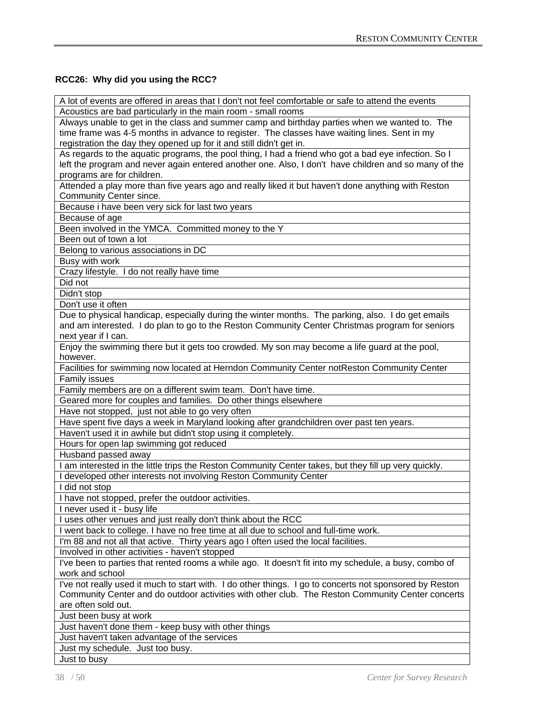# **RCC26: Why did you using the RCC?**

| A lot of events are offered in areas that I don't not feel comfortable or safe to attend the events |  |
|-----------------------------------------------------------------------------------------------------|--|
| Acoustics are bad particularly in the main room - small rooms                                       |  |

Always unable to get in the class and summer camp and birthday parties when we wanted to. The time frame was 4-5 months in advance to register. The classes have waiting lines. Sent in my registration the day they opened up for it and still didn't get in.

As regards to the aquatic programs, the pool thing, I had a friend who got a bad eye infection. So I left the program and never again entered another one. Also, I don't have children and so many of the programs are for children.

Attended a play more than five years ago and really liked it but haven't done anything with Reston Community Center since.

Because i have been very sick for last two years

Because of age

Been involved in the YMCA. Committed money to the Y

Been out of town a lot

Belong to various associations in DC

Busy with work

Crazy lifestyle. I do not really have time

Did not

Didn't stop

Don't use it often

Due to physical handicap, especially during the winter months. The parking, also. I do get emails and am interested. I do plan to go to the Reston Community Center Christmas program for seniors next year if I can.

Enjoy the swimming there but it gets too crowded. My son may become a life guard at the pool, however.

Facilities for swimming now located at Herndon Community Center notReston Community Center Family issues

Family members are on a different swim team. Don't have time.

Geared more for couples and families. Do other things elsewhere

Have not stopped, just not able to go very often

Have spent five days a week in Maryland looking after grandchildren over past ten years.

Haven't used it in awhile but didn't stop using it completely.

Hours for open lap swimming got reduced

Husband passed away

I am interested in the little trips the Reston Community Center takes, but they fill up very quickly.

I developed other interests not involving Reston Community Center

I did not stop

I have not stopped, prefer the outdoor activities.

I never used it - busy life

I uses other venues and just really don't think about the RCC

I went back to college. I have no free time at all due to school and full-time work.

I'm 88 and not all that active. Thirty years ago I often used the local facilities.

Involved in other activities - haven't stopped

I've been to parties that rented rooms a while ago. It doesn't fit into my schedule, a busy, combo of work and school

I've not really used it much to start with. I do other things. I go to concerts not sponsored by Reston Community Center and do outdoor activities with other club. The Reston Community Center concerts are often sold out.

Just been busy at work

Just haven't done them - keep busy with other things

Just haven't taken advantage of the services

Just my schedule. Just too busy.

Just to busy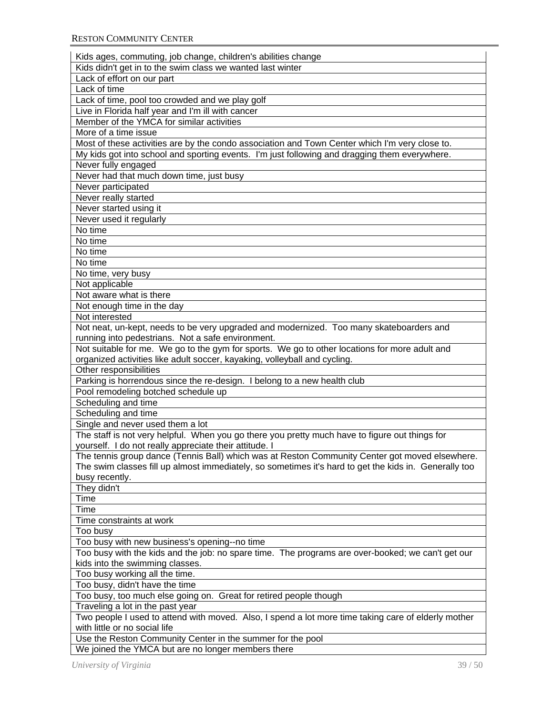| Kids ages, commuting, job change, children's abilities change                                         |
|-------------------------------------------------------------------------------------------------------|
| Kids didn't get in to the swim class we wanted last winter                                            |
| Lack of effort on our part                                                                            |
| Lack of time                                                                                          |
| Lack of time, pool too crowded and we play golf                                                       |
| Live in Florida half year and I'm ill with cancer                                                     |
| Member of the YMCA for similar activities                                                             |
| More of a time issue                                                                                  |
| Most of these activities are by the condo association and Town Center which I'm very close to.        |
| My kids got into school and sporting events. I'm just following and dragging them everywhere.         |
| Never fully engaged                                                                                   |
| Never had that much down time, just busy                                                              |
| Never participated                                                                                    |
| Never really started                                                                                  |
| Never started using it                                                                                |
|                                                                                                       |
| Never used it regularly<br>No time                                                                    |
|                                                                                                       |
| No time                                                                                               |
| No time                                                                                               |
| No time                                                                                               |
| No time, very busy                                                                                    |
| Not applicable                                                                                        |
| Not aware what is there                                                                               |
| Not enough time in the day                                                                            |
| Not interested                                                                                        |
| Not neat, un-kept, needs to be very upgraded and modernized. Too many skateboarders and               |
| running into pedestrians. Not a safe environment.                                                     |
| Not suitable for me. We go to the gym for sports. We go to other locations for more adult and         |
| organized activities like adult soccer, kayaking, volleyball and cycling.                             |
| Other responsibilities                                                                                |
| Parking is horrendous since the re-design. I belong to a new health club                              |
| Pool remodeling botched schedule up                                                                   |
| Scheduling and time                                                                                   |
| Scheduling and time                                                                                   |
| Single and never used them a lot                                                                      |
| The staff is not very helpful. When you go there you pretty much have to figure out things for        |
| yourself. I do not really appreciate their attitude. I                                                |
| The tennis group dance (Tennis Ball) which was at Reston Community Center got moved elsewhere.        |
| The swim classes fill up almost immediately, so sometimes it's hard to get the kids in. Generally too |
| busy recently.                                                                                        |
| They didn't                                                                                           |
| Time                                                                                                  |
| Time                                                                                                  |
| Time constraints at work                                                                              |
| Too busy                                                                                              |
| Too busy with new business's opening--no time                                                         |
| Too busy with the kids and the job: no spare time. The programs are over-booked; we can't get our     |
| kids into the swimming classes.                                                                       |
| Too busy working all the time.                                                                        |
| Too busy, didn't have the time                                                                        |
| Too busy, too much else going on. Great for retired people though                                     |
| Traveling a lot in the past year                                                                      |
| Two people I used to attend with moved. Also, I spend a lot more time taking care of elderly mother   |
| with little or no social life                                                                         |
| Use the Reston Community Center in the summer for the pool                                            |
| We joined the YMCA but are no longer members there                                                    |
|                                                                                                       |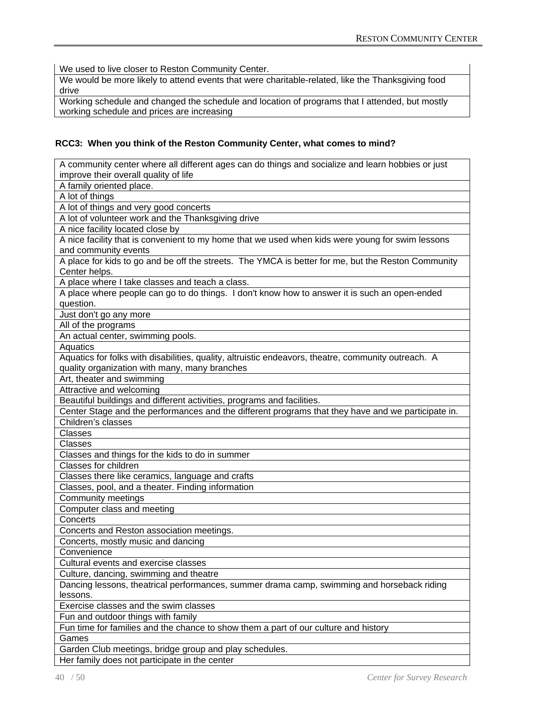We used to live closer to Reston Community Center.

We would be more likely to attend events that were charitable-related, like the Thanksgiving food drive

Working schedule and changed the schedule and location of programs that I attended, but mostly working schedule and prices are increasing

# **RCC3: When you think of the Reston Community Center, what comes to mind?**

| A community center where all different ages can do things and socialize and learn hobbies or just   |
|-----------------------------------------------------------------------------------------------------|
| improve their overall quality of life                                                               |
| A family oriented place.                                                                            |
| A lot of things                                                                                     |
| A lot of things and very good concerts                                                              |
| A lot of volunteer work and the Thanksgiving drive                                                  |
| A nice facility located close by                                                                    |
| A nice facility that is convenient to my home that we used when kids were young for swim lessons    |
| and community events                                                                                |
| A place for kids to go and be off the streets. The YMCA is better for me, but the Reston Community  |
| Center helps.                                                                                       |
| A place where I take classes and teach a class.                                                     |
| A place where people can go to do things. I don't know how to answer it is such an open-ended       |
| question.                                                                                           |
| Just don't go any more                                                                              |
| All of the programs                                                                                 |
| An actual center, swimming pools.                                                                   |
| Aquatics                                                                                            |
| Aquatics for folks with disabilities, quality, altruistic endeavors, theatre, community outreach. A |
| quality organization with many, many branches                                                       |
| Art, theater and swimming                                                                           |
| Attractive and welcoming                                                                            |
| Beautiful buildings and different activities, programs and facilities.                              |
| Center Stage and the performances and the different programs that they have and we participate in.  |
| Children's classes                                                                                  |
| Classes                                                                                             |
| Classes                                                                                             |
| Classes and things for the kids to do in summer                                                     |
| Classes for children                                                                                |
| Classes there like ceramics, language and crafts                                                    |
| Classes, pool, and a theater. Finding information                                                   |
| <b>Community meetings</b>                                                                           |
| Computer class and meeting                                                                          |
| Concerts                                                                                            |
| Concerts and Reston association meetings.                                                           |
| Concerts, mostly music and dancing                                                                  |
| Convenience                                                                                         |
| Cultural events and exercise classes                                                                |
| Culture, dancing, swimming and theatre                                                              |
| Dancing lessons, theatrical performances, summer drama camp, swimming and horseback riding          |
| lessons.                                                                                            |
| Exercise classes and the swim classes                                                               |
| Fun and outdoor things with family                                                                  |
| Fun time for families and the chance to show them a part of our culture and history                 |
| Games                                                                                               |
| Garden Club meetings, bridge group and play schedules.                                              |
| Her family does not participate in the center                                                       |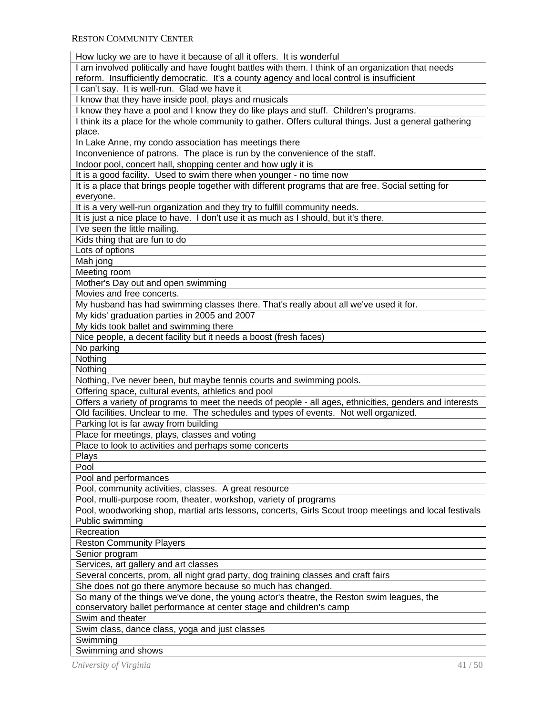| How lucky we are to have it because of all it offers. It is wonderful                                   |
|---------------------------------------------------------------------------------------------------------|
| I am involved politically and have fought battles with them. I think of an organization that needs      |
| reform. Insufficiently democratic. It's a county agency and local control is insufficient               |
| I can't say. It is well-run. Glad we have it                                                            |
| I know that they have inside pool, plays and musicals                                                   |
| I know they have a pool and I know they do like plays and stuff. Children's programs.                   |
| I think its a place for the whole community to gather. Offers cultural things. Just a general gathering |
| place.                                                                                                  |
| In Lake Anne, my condo association has meetings there                                                   |
| Inconvenience of patrons. The place is run by the convenience of the staff.                             |
| Indoor pool, concert hall, shopping center and how ugly it is                                           |
| It is a good facility. Used to swim there when younger - no time now                                    |
| It is a place that brings people together with different programs that are free. Social setting for     |
| everyone.                                                                                               |
| It is a very well-run organization and they try to fulfill community needs.                             |
| It is just a nice place to have. I don't use it as much as I should, but it's there.                    |
| I've seen the little mailing.                                                                           |
| Kids thing that are fun to do                                                                           |
| Lots of options                                                                                         |
| Mah jong                                                                                                |
| Meeting room                                                                                            |
| Mother's Day out and open swimming                                                                      |
| Movies and free concerts.                                                                               |
| My husband has had swimming classes there. That's really about all we've used it for.                   |
| My kids' graduation parties in 2005 and 2007                                                            |
| My kids took ballet and swimming there                                                                  |
| Nice people, a decent facility but it needs a boost (fresh faces)                                       |
| No parking                                                                                              |
|                                                                                                         |
| Nothing                                                                                                 |
| Nothing                                                                                                 |
| Nothing, I've never been, but maybe tennis courts and swimming pools.                                   |
| Offering space, cultural events, athletics and pool                                                     |
| Offers a variety of programs to meet the needs of people - all ages, ethnicities, genders and interests |
| Old facilities. Unclear to me. The schedules and types of events. Not well organized.                   |
| Parking lot is far away from building                                                                   |
| Place for meetings, plays, classes and voting                                                           |
| Place to look to activities and perhaps some concerts                                                   |
| Plays                                                                                                   |
| Pool                                                                                                    |
| Pool and performances                                                                                   |
| Pool, community activities, classes. A great resource                                                   |
| Pool, multi-purpose room, theater, workshop, variety of programs                                        |
| Pool, woodworking shop, martial arts lessons, concerts, Girls Scout troop meetings and local festivals  |
| Public swimming                                                                                         |
| Recreation                                                                                              |
| <b>Reston Community Players</b>                                                                         |
| Senior program                                                                                          |
| Services, art gallery and art classes                                                                   |
| Several concerts, prom, all night grad party, dog training classes and craft fairs                      |
| She does not go there anymore because so much has changed.                                              |
| So many of the things we've done, the young actor's theatre, the Reston swim leagues, the               |
| conservatory ballet performance at center stage and children's camp                                     |
| Swim and theater                                                                                        |
| Swim class, dance class, yoga and just classes                                                          |
| Swimming                                                                                                |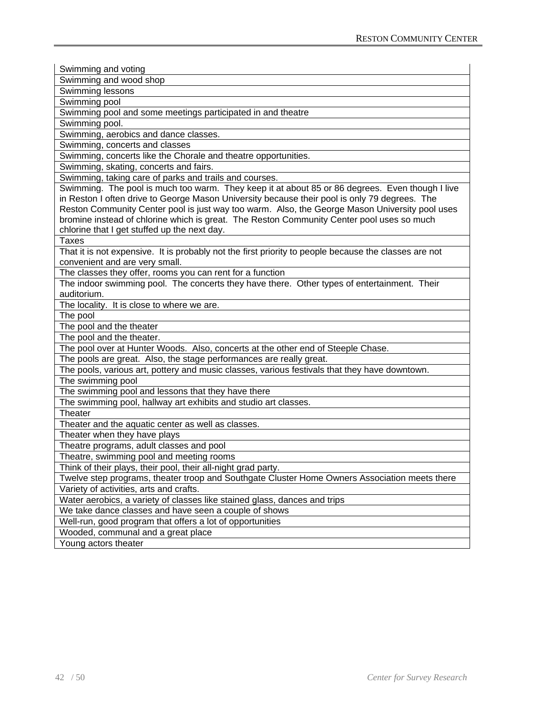| Swimming and voting                                                                                                                                                                             |
|-------------------------------------------------------------------------------------------------------------------------------------------------------------------------------------------------|
| Swimming and wood shop                                                                                                                                                                          |
| Swimming lessons                                                                                                                                                                                |
| Swimming pool                                                                                                                                                                                   |
| Swimming pool and some meetings participated in and theatre                                                                                                                                     |
| Swimming pool.                                                                                                                                                                                  |
|                                                                                                                                                                                                 |
| Swimming, aerobics and dance classes.                                                                                                                                                           |
| Swimming, concerts and classes                                                                                                                                                                  |
| Swimming, concerts like the Chorale and theatre opportunities.<br>Swimming, skating, concerts and fairs.                                                                                        |
|                                                                                                                                                                                                 |
| Swimming, taking care of parks and trails and courses.                                                                                                                                          |
| Swimming. The pool is much too warm. They keep it at about 85 or 86 degrees. Even though I live                                                                                                 |
| in Reston I often drive to George Mason University because their pool is only 79 degrees. The<br>Reston Community Center pool is just way too warm. Also, the George Mason University pool uses |
| bromine instead of chlorine which is great. The Reston Community Center pool uses so much                                                                                                       |
| chlorine that I get stuffed up the next day.                                                                                                                                                    |
| <b>Taxes</b>                                                                                                                                                                                    |
| That it is not expensive. It is probably not the first priority to people because the classes are not                                                                                           |
| convenient and are very small.                                                                                                                                                                  |
| The classes they offer, rooms you can rent for a function                                                                                                                                       |
| The indoor swimming pool. The concerts they have there. Other types of entertainment. Their                                                                                                     |
| auditorium.                                                                                                                                                                                     |
| The locality. It is close to where we are.                                                                                                                                                      |
| The pool                                                                                                                                                                                        |
| The pool and the theater                                                                                                                                                                        |
| The pool and the theater.                                                                                                                                                                       |
| The pool over at Hunter Woods. Also, concerts at the other end of Steeple Chase.                                                                                                                |
| The pools are great. Also, the stage performances are really great.                                                                                                                             |
| The pools, various art, pottery and music classes, various festivals that they have downtown.                                                                                                   |
| The swimming pool                                                                                                                                                                               |
| The swimming pool and lessons that they have there                                                                                                                                              |
| The swimming pool, hallway art exhibits and studio art classes.                                                                                                                                 |
| Theater                                                                                                                                                                                         |
| Theater and the aquatic center as well as classes.                                                                                                                                              |
| Theater when they have plays                                                                                                                                                                    |
| Theatre programs, adult classes and pool                                                                                                                                                        |
| Theatre, swimming pool and meeting rooms                                                                                                                                                        |
| Think of their plays, their pool, their all-night grad party.                                                                                                                                   |
| Twelve step programs, theater troop and Southgate Cluster Home Owners Association meets there                                                                                                   |
| Variety of activities, arts and crafts.                                                                                                                                                         |
| Water aerobics, a variety of classes like stained glass, dances and trips                                                                                                                       |
| We take dance classes and have seen a couple of shows                                                                                                                                           |
| Well-run, good program that offers a lot of opportunities                                                                                                                                       |
| Wooded, communal and a great place                                                                                                                                                              |
| Young actors theater                                                                                                                                                                            |
|                                                                                                                                                                                                 |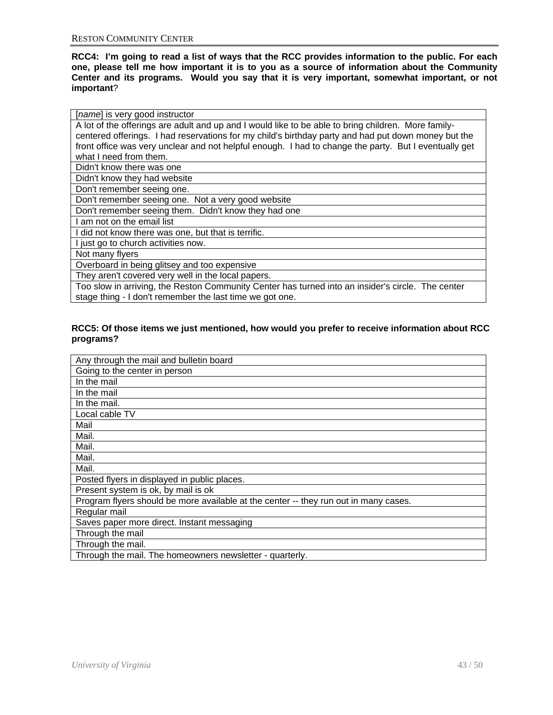**RCC4: I'm going to read a list of ways that the RCC provides information to the public. For each one, please tell me how important it is to you as a source of information about the Community Center and its programs. Would you say that it is very important, somewhat important, or not important**?

|  |  |  |  | [name] is very good instructor |
|--|--|--|--|--------------------------------|
|--|--|--|--|--------------------------------|

A lot of the offerings are adult and up and I would like to be able to bring children. More familycentered offerings. I had reservations for my child's birthday party and had put down money but the front office was very unclear and not helpful enough. I had to change the party. But I eventually get what I need from them.

Didn't know there was one

Didn't know they had website

Don't remember seeing one.

Don't remember seeing one. Not a very good website

Don't remember seeing them. Didn't know they had one

I am not on the email list

I did not know there was one, but that is terrific.

I just go to church activities now.

Not many flyers

Overboard in being glitsey and too expensive

They aren't covered very well in the local papers.

Too slow in arriving, the Reston Community Center has turned into an insider's circle. The center stage thing - I don't remember the last time we got one.

#### **RCC5: Of those items we just mentioned, how would you prefer to receive information about RCC programs?**

| Any through the mail and bulletin board                                              |
|--------------------------------------------------------------------------------------|
| Going to the center in person                                                        |
| In the mail                                                                          |
| In the mail                                                                          |
| In the mail.                                                                         |
| Local cable TV                                                                       |
| Mail                                                                                 |
| Mail.                                                                                |
| Mail.                                                                                |
| Mail.                                                                                |
| Mail.                                                                                |
| Posted flyers in displayed in public places.                                         |
| Present system is ok, by mail is ok                                                  |
| Program flyers should be more available at the center -- they run out in many cases. |
| Regular mail                                                                         |
| Saves paper more direct. Instant messaging                                           |
| Through the mail                                                                     |
| Through the mail.                                                                    |
| Through the mail. The homeowners newsletter - quarterly.                             |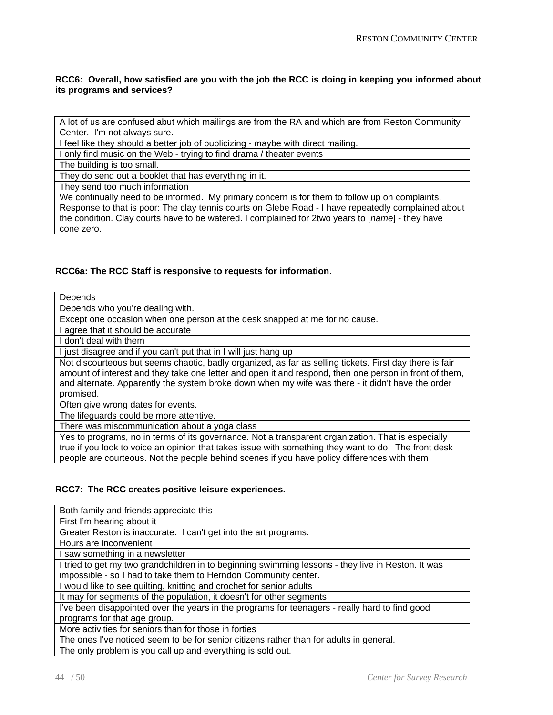# **RCC6: Overall, how satisfied are you with the job the RCC is doing in keeping you informed about its programs and services?**

A lot of us are confused abut which mailings are from the RA and which are from Reston Community Center. I'm not always sure.

I feel like they should a better job of publicizing - maybe with direct mailing.

I only find music on the Web - trying to find drama / theater events

The building is too small.

They do send out a booklet that has everything in it.

They send too much information

We continually need to be informed. My primary concern is for them to follow up on complaints. Response to that is poor: The clay tennis courts on Glebe Road - I have repeatedly complained about the condition. Clay courts have to be watered. I complained for 2two years to [*name*] - they have cone zero.

# **RCC6a: The RCC Staff is responsive to requests for information**.

**Depends** 

Depends who you're dealing with.

Except one occasion when one person at the desk snapped at me for no cause.

I agree that it should be accurate

I don't deal with them

I just disagree and if you can't put that in I will just hang up

Not discourteous but seems chaotic, badly organized, as far as selling tickets. First day there is fair amount of interest and they take one letter and open it and respond, then one person in front of them, and alternate. Apparently the system broke down when my wife was there - it didn't have the order promised.

Often give wrong dates for events.

The lifeguards could be more attentive.

There was miscommunication about a yoga class

Yes to programs, no in terms of its governance. Not a transparent organization. That is especially true if you look to voice an opinion that takes issue with something they want to do. The front desk people are courteous. Not the people behind scenes if you have policy differences with them

#### **RCC7: The RCC creates positive leisure experiences.**

Both family and friends appreciate this First I'm hearing about it Greater Reston is inaccurate. I can't get into the art programs. Hours are inconvenient I saw something in a newsletter I tried to get my two grandchildren in to beginning swimming lessons - they live in Reston. It was impossible - so I had to take them to Herndon Community center. I would like to see quilting, knitting and crochet for senior adults It may for segments of the population, it doesn't for other segments I've been disappointed over the years in the programs for teenagers - really hard to find good programs for that age group. More activities for seniors than for those in forties The ones I've noticed seem to be for senior citizens rather than for adults in general.

The only problem is you call up and everything is sold out.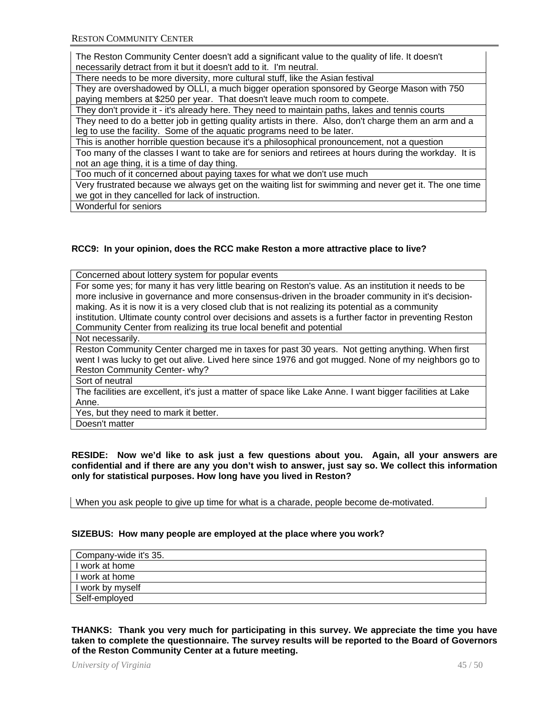The Reston Community Center doesn't add a significant value to the quality of life. It doesn't necessarily detract from it but it doesn't add to it. I'm neutral.

There needs to be more diversity, more cultural stuff, like the Asian festival

They are overshadowed by OLLI, a much bigger operation sponsored by George Mason with 750 paying members at \$250 per year. That doesn't leave much room to compete.

They don't provide it - it's already here. They need to maintain paths, lakes and tennis courts They need to do a better job in getting quality artists in there. Also, don't charge them an arm and a leg to use the facility. Some of the aquatic programs need to be later.

This is another horrible question because it's a philosophical pronouncement, not a question

Too many of the classes I want to take are for seniors and retirees at hours during the workday. It is not an age thing, it is a time of day thing.

Too much of it concerned about paying taxes for what we don't use much

Very frustrated because we always get on the waiting list for swimming and never get it. The one time we got in they cancelled for lack of instruction.

Wonderful for seniors

# **RCC9: In your opinion, does the RCC make Reston a more attractive place to live?**

| Concerned about lottery system for popular events                                                          |
|------------------------------------------------------------------------------------------------------------|
| For some yes; for many it has very little bearing on Reston's value. As an institution it needs to be      |
| more inclusive in governance and more consensus-driven in the broader community in it's decision-          |
| making. As it is now it is a very closed club that is not realizing its potential as a community           |
| institution. Ultimate county control over decisions and assets is a further factor in preventing Reston    |
| Community Center from realizing its true local benefit and potential                                       |
| Not necessarily.                                                                                           |
| Reston Community Center charged me in taxes for past 30 years. Not getting anything. When first            |
| went I was lucky to get out alive. Lived here since 1976 and got mugged. None of my neighbors go to        |
| Reston Community Center- why?                                                                              |
| Sort of neutral                                                                                            |
| The facilities are excellent, it's just a matter of space like Lake Anne. I want bigger facilities at Lake |
| Anne.                                                                                                      |
| Yes, but they need to mark it better.                                                                      |
| Doesn't matter                                                                                             |

**RESIDE: Now we'd like to ask just a few questions about you. Again, all your answers are confidential and if there are any you don't wish to answer, just say so. We collect this information only for statistical purposes. How long have you lived in Reston?** 

When you ask people to give up time for what is a charade, people become de-motivated.

#### **SIZEBUS: How many people are employed at the place where you work?**

| Company-wide it's 35. |
|-----------------------|
| I work at home        |
| I work at home        |
| I work by myself      |
| Self-employed         |

**THANKS: Thank you very much for participating in this survey. We appreciate the time you have taken to complete the questionnaire. The survey results will be reported to the Board of Governors of the Reston Community Center at a future meeting.** 

*University of Virginia* 45 / 50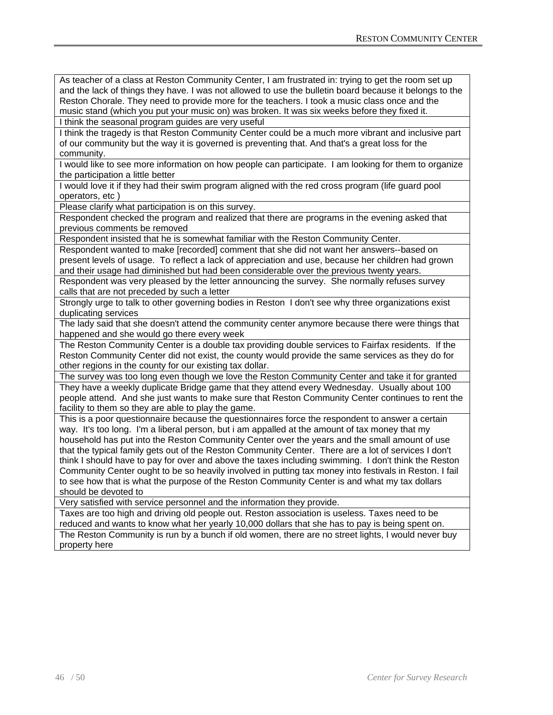As teacher of a class at Reston Community Center, I am frustrated in: trying to get the room set up and the lack of things they have. I was not allowed to use the bulletin board because it belongs to the Reston Chorale. They need to provide more for the teachers. I took a music class once and the music stand (which you put your music on) was broken. It was six weeks before they fixed it.

I think the seasonal program guides are very useful

I think the tragedy is that Reston Community Center could be a much more vibrant and inclusive part of our community but the way it is governed is preventing that. And that's a great loss for the community.

I would like to see more information on how people can participate. I am looking for them to organize the participation a little better

I would love it if they had their swim program aligned with the red cross program (life guard pool operators, etc )

Please clarify what participation is on this survey.

Respondent checked the program and realized that there are programs in the evening asked that previous comments be removed

Respondent insisted that he is somewhat familiar with the Reston Community Center.

Respondent wanted to make [recorded] comment that she did not want her answers--based on present levels of usage. To reflect a lack of appreciation and use, because her children had grown and their usage had diminished but had been considerable over the previous twenty years.

Respondent was very pleased by the letter announcing the survey. She normally refuses survey calls that are not preceded by such a letter

Strongly urge to talk to other governing bodies in Reston I don't see why three organizations exist duplicating services

The lady said that she doesn't attend the community center anymore because there were things that happened and she would go there every week

The Reston Community Center is a double tax providing double services to Fairfax residents. If the Reston Community Center did not exist, the county would provide the same services as they do for other regions in the county for our existing tax dollar.

The survey was too long even though we love the Reston Community Center and take it for granted They have a weekly duplicate Bridge game that they attend every Wednesday. Usually about 100 people attend. And she just wants to make sure that Reston Community Center continues to rent the facility to them so they are able to play the game.

This is a poor questionnaire because the questionnaires force the respondent to answer a certain way. It's too long. I'm a liberal person, but i am appalled at the amount of tax money that my household has put into the Reston Community Center over the years and the small amount of use that the typical family gets out of the Reston Community Center. There are a lot of services I don't think I should have to pay for over and above the taxes including swimming. I don't think the Reston Community Center ought to be so heavily involved in putting tax money into festivals in Reston. I fail to see how that is what the purpose of the Reston Community Center is and what my tax dollars should be devoted to

Very satisfied with service personnel and the information they provide.

Taxes are too high and driving old people out. Reston association is useless. Taxes need to be reduced and wants to know what her yearly 10,000 dollars that she has to pay is being spent on. The Reston Community is run by a bunch if old women, there are no street lights, I would never buy property here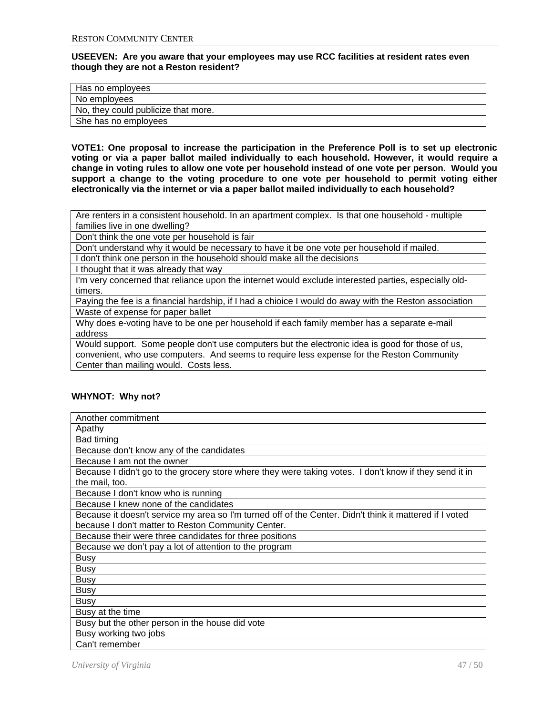**USEEVEN: Are you aware that your employees may use RCC facilities at resident rates even though they are not a Reston resident?** 

| Has no employees                    |
|-------------------------------------|
| No employees                        |
| No, they could publicize that more. |
| She has no employees                |

**VOTE1: One proposal to increase the participation in the Preference Poll is to set up electronic voting or via a paper ballot mailed individually to each household. However, it would require a change in voting rules to allow one vote per household instead of one vote per person. Would you support a change to the voting procedure to one vote per household to permit voting either electronically via the internet or via a paper ballot mailed individually to each household?** 

Are renters in a consistent household. In an apartment complex. Is that one household - multiple families live in one dwelling?

Don't think the one vote per household is fair

Don't understand why it would be necessary to have it be one vote per household if mailed.

I don't think one person in the household should make all the decisions

I thought that it was already that way

I'm very concerned that reliance upon the internet would exclude interested parties, especially oldtimers.

Paying the fee is a financial hardship, if I had a chioice I would do away with the Reston association Waste of expense for paper ballet

Why does e-voting have to be one per household if each family member has a separate e-mail address

Would support. Some people don't use computers but the electronic idea is good for those of us, convenient, who use computers. And seems to require less expense for the Reston Community Center than mailing would. Costs less.

# **WHYNOT: Why not?**

| Another commitment                                                                                      |
|---------------------------------------------------------------------------------------------------------|
| Apathy                                                                                                  |
| Bad timing                                                                                              |
| Because don't know any of the candidates                                                                |
| Because I am not the owner                                                                              |
| Because I didn't go to the grocery store where they were taking votes. I don't know if they send it in  |
| the mail, too.                                                                                          |
| Because I don't know who is running                                                                     |
| Because I knew none of the candidates                                                                   |
| Because it doesn't service my area so I'm turned off of the Center. Didn't think it mattered if I voted |
| because I don't matter to Reston Community Center.                                                      |
| Because their were three candidates for three positions                                                 |
| Because we don't pay a lot of attention to the program                                                  |
| <b>Busy</b>                                                                                             |
| <b>Busy</b>                                                                                             |
| <b>Busy</b>                                                                                             |
| <b>Busy</b>                                                                                             |
| <b>Busy</b>                                                                                             |
| Busy at the time                                                                                        |
| Busy but the other person in the house did vote                                                         |
| Busy working two jobs                                                                                   |
| Can't remember                                                                                          |